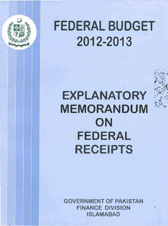

# **FEDERAL BUDGET** 2012-2013

(,,, :1 *<sup>p</sup>*.. **.,'S-** " \* **r** .ir **I 2 9** :.<; . **Ti i,** '

*c'~s*  ?.,% **F\$j** i\*: - **sx** 

**3'"** 8 8 **,P** 

# $EXPLANATORY$ **MEMORANDUM** ON **FEDERAL RECEIPTS**

**GOVERNMENT OF PAKISTAN FINANCE DIVISION ISLAMABAD**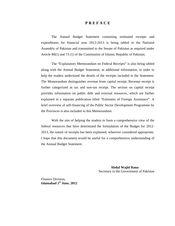#### **P R E F A C E**

The Annual Budget Statement containing estimated receipts and expenditures for financial year 2012-2013 is being tabled in the National Assembly of Pakistan and transmitted to the Senate of Pakistan as required under Article 80(1) and 73 (1) of the Constitution of Islamic Republic of Pakistan.

The "Explanatory Memorandum on Federal Receipts" is also being tabled along with the Annual Budget Statement, as additional information, in order to help the readers understand the details of the receipts included in the Statement. The Memorandum distinguishes revenue from capital receipt. Revenue receipt is further categorized as tax and non-tax receipt. The section on capital receipt provides information on public debt and external resources, which are further explained in a separate publication titled "Estimates of Foreign Assistance". A brief overview of self-financing of the Public Sector Development Programme by the Provinces is also included in this Memorandum.

With the aim of helping the readers to form a comprehensive view of the federal resources that have determined the formulation of the Budget for 2012- 2013, the nature of receipts has been explained, wherever considered appropriate. I hope that this document would be useful for a comprehensive understanding of the Annual Budget Statement.

> **Abdul Wajid Rana** Secretary to the Government of Pakistan

Finance Division, **Islamabad 1st June, 2012**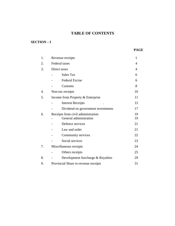# **TABLE OF CONTENTS**

## **SECTION – I**

| 1. | Revenue receipts                                             | $\mathbf{1}$ |
|----|--------------------------------------------------------------|--------------|
| 2. | <b>Federal</b> taxes                                         | 4            |
| 3. | Direct taxes                                                 | 4            |
|    | Sales Tax                                                    | 6            |
|    | <b>Federal Excise</b>                                        | 6            |
|    | Customs                                                      | 8            |
| 4. | Non-tax receipts                                             | 10           |
| 5. | Income from Property & Enterprise                            | 11           |
|    | <b>Interest Receipts</b>                                     | 12           |
|    | Dividend on government investments                           | 17           |
| 6. | Receipts from civil administration<br>General administration | 19<br>19     |
|    | Defence services                                             | 21           |
|    | Law and order                                                | 21           |
|    | Community services                                           | 22           |
|    | Social services                                              | 23           |
| 7. | Miscellaneous receipts                                       | 24           |
|    | Others receipts                                              | 25           |
| 8. | Development Surcharge & Royalties                            | 29           |
| 9. | Provincial Share in revenue receipts                         | 31           |
|    |                                                              |              |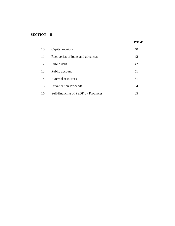## **SECTION – II**

#### **PAGE**

| 10.             | Capital receipts                    |    |
|-----------------|-------------------------------------|----|
| 11 <sub>1</sub> | Recoveries of loans and advances    | 42 |
| 12.             | Public debt                         | 47 |
| 13.             | Public account                      | 51 |
| 14.             | <b>External resources</b>           | 61 |
| 15.             | <b>Privatization Proceeds</b>       | 64 |
| 16.             | Self-financing of PSDP by Provinces | 65 |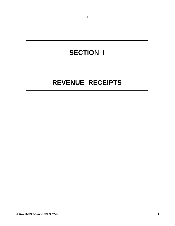# **SECTION I**

1

# **REVENUE RECEIPTS**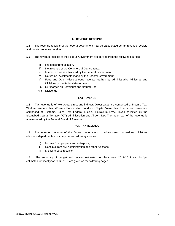#### **1. REVENUE RECEIPTS**

**1.1** The revenue receipts of the federal government may be categorized as tax revenue receipts and non-tax revenue receipts.

**1.2** The revenue receipts of the Federal Government are derived from the following sources:-

- i) Proceeds from taxation.
- ii) Net revenue of the Commercial Departments.
- iii) Interest on loans advanced by the Federal Government
- iv) Return on investments made by the Federal Government
- v) Fees and Other Miscellaneous receipts realized by administrative Ministries and Divisions of the Federal Government
- vi) Surcharges on Petroleum and Natural Gas
- vii) Dividends

#### **TAX REVENUE**

**1.3** Tax revenue is of two types, direct and indirect. Direct taxes are comprised of Income Tax, Workers Welfare Tax, Workers Participation Fund and Capital Value Tax. The indirect taxes are comprised of Customs, Sales Tax, Federal Excise, Petroleum Levy, Taxes collected by the Islamabad Capital Territory (ICT) administration and Airport Tax. The major part of the revenue is administered by the Federal Board of Revenue.

#### **NON-TAX REVENUE**

**1.4** The non-tax revenue of the federal government is administered by various ministries /divisions/departments and comprises of following sources:

- i) Income from property and enterprise;
- ii) Receipts from civil administration and other functions;
- iii) Miscellaneous receipts.

**1.5** The summary of budget and revised estimates for fiscal year 2011-2012 and budget estimates for fiscal year 2012-2013 are given on the following pages.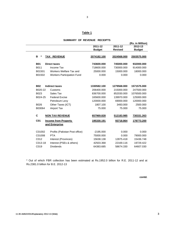#### **Table 1**

|                 |                                   |               |                | (Rs. in Million)  |
|-----------------|-----------------------------------|---------------|----------------|-------------------|
|                 |                                   | 2011-12       | $2011 - 12$    | 2012-13           |
|                 |                                   | <b>Budget</b> | <b>Revised</b> | <b>Budget</b>     |
| $\ast$<br>в     | <b>TAX REVENUE</b>                | 2074182.100   | 2024568.000    | 2503575.000       |
| <b>B01</b>      | <b>Direct taxes</b>               | 743600.000    | 745000.000     | 932000.000        |
| B011            | Income Tax                        | 718600.000    | 730000.000     | 914000.000        |
| B01501          | Workers Welfare Tax and           | 25000.000     | 15000.000      | 18000.000         |
| B01502          | <b>Workers Participation Fund</b> | 0.000         | 0.000          | 0.000             |
| <b>B02</b>      | <b>Indirect taxes</b>             | 1330582.100   | 1279568.000    | 1571575.000       |
| B020-22         | Customs                           | 206400.000    | 215000.000     | 247500.000        |
| B023            | Sales Tax                         | 836700.000    | 852030.000     | 1076500.000       |
| B024-25         | <b>Federal Excise</b>             | 165600.000    | 139970.000     | 125000.000        |
|                 | Petroleum Levy                    | 120000.000    | 69000.000      | 120000.000        |
| B026            | Other Taxes (ICT)                 | 1807.100      | 3493.000       | 2500.000          |
| B03064          | Airport Tax                       | 75.000        | 75.000         | 75.000            |
| C               | <b>NON TAX REVENUE</b>            | 657969.828    | 512183.985     | <u>730331.263</u> |
| C <sub>01</sub> | <b>Income from Property</b>       | 195330.191    | 93718.864      | 178773.200        |
|                 | and Enterprise                    |               |                |                   |
| C01002          | Profits (Pakistan Post office)    | $-2195.000$   | 0.000          | 0.000             |
| C01008          | <b>PTA</b>                        | 75000.000     | 0.000          | 79000.000         |
| C012            | Interest (Provinces)              | 15638.138     | 12875.418      | 15436.748         |
| C013-18         | Interest (PSEs & others)          | 42503.368     | 22169.116      | 19729.422         |
| C019            | <b>Dividends</b>                  | 64383.685     | 58674.330      | 64607.030         |

#### **SUMMARY OF REVENUE RECEIPTS**

\* Out of which FBR collection has been estimated at Rs.1952.0 billion for R.E. 2011-12 and at Rs.2381.0 billion for B.E. 2012-13

**contd.**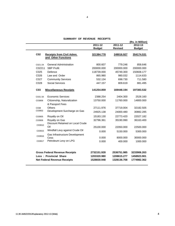|  |  |  | SUMMARY OF REVENUE RECEIPTS |
|--|--|--|-----------------------------|
|--|--|--|-----------------------------|

|                 |                                                                                                        |                                           |                                           | (Rs. in Million)                          |
|-----------------|--------------------------------------------------------------------------------------------------------|-------------------------------------------|-------------------------------------------|-------------------------------------------|
|                 |                                                                                                        | 2011-12                                   | 2011-12                                   | 2012-13                                   |
|                 |                                                                                                        | <b>Budget</b>                             | <b>Revised</b>                            | <b>Budget</b>                             |
| C <sub>02</sub> | <b>Receipts from Civil Admn.</b><br>and Other Functions                                                | 321384.778                                | 249016.927                                | 354174.531                                |
| C021-24         | <b>General Administration</b>                                                                          | 800.607                                   | 779.246                                   | 858.646                                   |
| C02211          | <b>SBP Profit</b>                                                                                      | 200000.000                                | 200000.000                                | 200000.000                                |
| C025            | Defence                                                                                                | 118739.000                                | 45749.300                                 | 150608.177                                |
| C026            | Law and Order                                                                                          | 865.980                                   | 980.032                                   | 1114.633                                  |
| C027            | <b>Community Services</b>                                                                              | 532.134                                   | 698.730                                   | 711.580                                   |
| C028            | <b>Social Services</b>                                                                                 | 447.157                                   | 809.619                                   | 881.495                                   |
| C <sub>03</sub> | <b>Miscellaneous Receipts</b>                                                                          | 141254.859                                | 169448.194                                | 197383.532                                |
| C031-34         | Economic Services                                                                                      | 2388.254                                  | 2404.300                                  | 2528.160                                  |
| C03806          | Citizenship, Naturalization<br>& Passport Fees                                                         | 13750.000                                 | 11760.000                                 | 14800.000                                 |
| C038            | Others                                                                                                 | 27111.976                                 | 37719.004                                 | 32182.505                                 |
| C03902          | Development Surcharge on Gas                                                                           | 24925.138                                 | 24000.480                                 | 30882.285                                 |
| C03905          | Royalty on Oil                                                                                         | 15183.130                                 | 22773.420                                 | 22027.182                                 |
| C03906          | Royalty on Gas<br>Discount Retained on Local Crude                                                     | 32796.361                                 | 35190.990                                 | 36163.400                                 |
| C03910          | Oil                                                                                                    | 25100.000                                 | 22050.000                                 | 22500.000                                 |
| C03915          | Windfall Levy against Crude Oil                                                                        | 0.000                                     | 5150.000                                  | 5300.000                                  |
| C03916          | Gas Infrastructure Development<br>Cess                                                                 | 0.000                                     | 8000.000                                  | 30000.000                                 |
| C03917          | Petroleum Levy on LPG                                                                                  | 0.000                                     | 400.000                                   | 1000.000                                  |
|                 | <b>Gross Federal Revenue Receipts</b><br>Less: Provincial Share<br><b>Net Federal Revenue Receipts</b> | 2732151.928<br>1203320.980<br>1528830.948 | 2536751.985<br>1208615.277<br>1328136.708 | 3233906.263<br>1458923.901<br>1774982.362 |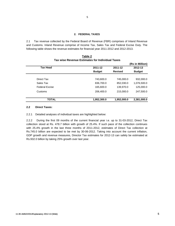#### **2. FEDERAL TAXES**

2.1 Tax revenue collected by the Federal Board of Revenue (FBR) comprises of Inland Revenue and Customs. Inland Revenue comprise of Income Tax, Sales Tax and Federal Excise Duty. The following table shows the revenue estimates for financial year 2011-2012 and 2012-2013.

|                       |               |                | (Rs in Million) |
|-----------------------|---------------|----------------|-----------------|
| <b>Tax Head</b>       | 2011-12       | 2011-12        | 2012-13         |
|                       | <b>Budget</b> | <b>Revised</b> | <b>Budget</b>   |
| Direct Tax            | 743,600.0     | 745,000.0      | 932,000.0       |
| Sales Tax             | 836,700.0     | 852,030.0      | 1,076,500.0     |
| <b>Federal Excise</b> | 165,600.0     | 139,970.0      | 125,000.0       |
| Customs               | 206,400.0     | 215,000.0      | 247,500.0       |
| <b>TOTAL</b>          | 1,952,300.0   | 1,952,000.0    | 2,381,000.0     |

#### **Tax wise Revenue Estimates for Individual Taxes Table 2**

#### **2.2 Direct Taxes:**

2.2.1 Detailed analyses of individual taxes are highlighted below:

2.2.2 During the first 09 months of the current financial year i.e. up to 31-03-2012, Direct Tax collection stood at Rs. 478.7 billion with growth of 25.4%. If such pace of the collection continues with 25.4% growth in the last three months of 2011-2012, estimates of Direct Tax collection at Rs.745.0 billion are expected to be met by 30-06-2012. Taking into account the current inflation, GDP growth and revenue measures, Director Tax estimates for 2012-13 can safely be estimated at Rs.932.0 billion by taking 25% growth over last year.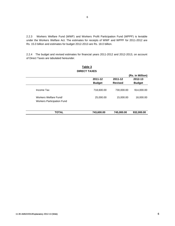2.2.3 Workers Welfare Fund (WWF) and Workers Profit Participation Fund (WPPF) is leviable under the Workers Welfare Act. The estimates for receipts of WWF and WPPF for 2011-2012 are Rs. 15.0 billion and estimates for budget 2012-2013 are Rs. 18.0 billion.

2.2.4 The budget and revised estimates for financial years 2011-2012 and 2012-2013, on account of Direct Taxes are tabulated hereunder.

|               |                | (Rs. in Million) |
|---------------|----------------|------------------|
| 2011-12       | 2011-12        | 2012-13          |
| <b>Budget</b> | <b>Revised</b> | <b>Budget</b>    |
| 718,600.00    | 730,000.00     | 914,000.00       |
| 25,000.00     | 15,000.00      | 18,000.00        |
|               |                |                  |
|               |                | 932,000.00       |
|               | 743,600.00     | 745,000.00       |

#### **DIRECT TAXES Table 3**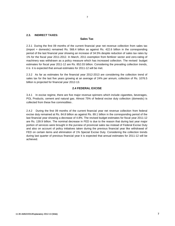#### **2.3. INDIRECT TAXES:**

#### **Sales Tax**

2.3.1 During the first 09 months of the current financial year net revenue collection from sales tax (import + domestic) remained Rs. 568.4 billion as against Rs. 422.6 billion in the corresponding period of the last financial year showing an increase of 34.5% despite reduction of sales tax rates by 1% for the fiscal year 2011-2012. In March, 2011 exemption from fertilizer sector and zero-rating of machinery was withdrawn as a policy measure which has increased collection. The revised budget estimates for fiscal year 2011-12 are Rs. 852.03 billion. Considering the prevailing collection trends, it is it is expected that annual estimates for 2011-12 will be met.

2.3.2 As far as estimates for the financial year 2012-2013 are considering the collection trend of sales tax for the last five years growing at an average of 24% per annum, collection of Rs. 1076.5 billion is projected for financial year 2012-13.

#### **2.4 FEDERAL EXCISE**

3.4.1 In excise regime, there are five major revenue spinners which include cigarettes, beverages, POL Products, cement and natural gas. Almost 75% of federal excise duty collection (domestic) is collected from these five commodities .

2.4.2 During the first 09 months of the current financial year net revenue collection from federal excise duty remained at Rs. 84.8 billion as against Rs. 89.1 billion in the corresponding period of the last financial year showing a decrease of 4.8%. The revised budget estimates for fiscal year 2011-12 are Rs. 139.9 billion. The nominal decrease in FED is due to the reason that during last year major portion of services were brought in the purview of provincial sales tax instead of Federal Excise Duty and also on account of policy initiatives taken during the previous financial year like withdrawal of FED on certain items and elimination of 1% Special Excise Duty. Considering the collection trends during last quarter of previous financial year it is expected that annual estimates for 2011-12 will be achieved.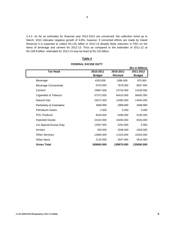2.4.3 As far as estimates for financial year 2012-2013 are concerned, the collection trend up to March, 2012 indicates negative growth of 4.8%, however, if concerted efforts are made by Inland Revenue it is expected to collect Rs.125 billion in 2012-13 despite likely reduction in FED on the items of beverage and cement for 2012-13. Thus as compared to the estimates of 2011-12 at Rs.139.9 billion estimated for 2012-13 may be fixed at Rs.125 billion.

|                                  |               |                | (Rs in Million) |
|----------------------------------|---------------|----------------|-----------------|
| <b>Tax Head</b>                  | 2010-2011     | 2010-2011      | 2011-2012       |
|                                  | <b>Budget</b> | <b>Revised</b> | <b>Budget</b>   |
| Beverage                         | 4263.000      | 1086.000       | 970.000         |
| <b>Beverage Concentrate</b>      | 6703.000      | 7678.000       | 6857.000        |
| Cement                           | 19967.000     | 14726.000      | 14100.000       |
| Cigarettes & Tobacco             | 57372.000     | 60410.000      | 56692.000       |
| Natural Gas                      | 15672.000     | 14482.000      | 14455.000       |
| <b>Perfumery &amp; Cosmetics</b> | 1684.000      | 2069.000       | 1848.000        |
| <b>Petroleum Gases</b>           | 2.000         | 0.000          | 0.000           |
| <b>POL Products</b>              | 6018.000      | 6296.000       | 5100.000        |
| <b>Imported Goods</b>            | 24102.000     | 10450.000      | 9333.000        |
| 1% Special Excise Duty           | 13467.000     | 5254.000       | 0.000           |
| Arrears                          | 250,000       | 2048.000       | 1829.000        |
| <b>Other Services</b>            | 13984.000     | 11423.000      | 10202.000       |
| Other Items                      | 2116.000      | 4047.000       | 3614.000        |
| <b>Gross Total</b>               | 165600.000    | 139970.000     | 125000.000      |

### **Table 4 FEDERAL EXCISE DUTY**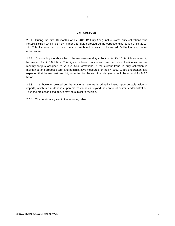#### **2.5 CUSTOMS**

9

2.5.1 During the first 10 months of FY 2011-12 (July-April), net customs duty collections was Rs.166.5 billion which is 17.2% higher than duty collected during corresponding period of FY 2010- 11. This increase in customs duty is attributed mainly to increased facilitation and better enforcement.

2.5.2 Considering the above facts, the net customs duty collection for FY 2011-12 is expected to be around Rs. 215.0 billion. This figure is based on current trend in duty collection as well as monthly targets assigned to various field formations. If the current trend in duty collection is maintained and proposed tariff and administrative measures for the FY 2012-13 are undertaken, it is expected that the net customs duty collection for the next financial year should be around Rs.247.5 billion.

2.5.3 It is, however pointed out that customs revenue is primarily based upon dutiable value of imports, which in turn depends upon macro variables beyond the control of customs administration. Thus the projection cited above may be subject to revision.

2.5.4. The details are given in the following table.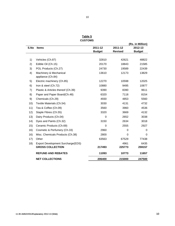| ۰, | ٧<br>I<br>×<br>٠ |
|----|------------------|
|    |                  |

**CUSTOMS Table 5**

|      |                                                              |               |                | (Rs. in Million) |
|------|--------------------------------------------------------------|---------------|----------------|------------------|
| S.No | <b>Items</b>                                                 | 2011-12       | 2011-12        | 2012-13          |
|      |                                                              | <b>Budget</b> | <b>Revised</b> | <b>Budget</b>    |
| 1)   | Vehicles (Ch.87)                                             | 32810         | 42621          | 48822            |
| 2)   | Edible Oil (Ch.15)                                           | 20170         | 18843          | 21585            |
| 3)   | POL Products (Ch.27)                                         | 24730         | 19589          | 22439            |
| 4)   | Machinery & Mechanical<br>appliance (Ch.84)                  | 13610         | 12173          | 13829            |
| 5)   | Electric machinery (Ch.85)                                   | 12270         | 10598          | 12025            |
| 6)   | Iron & steel (Ch.72)                                         | 10880         | 9495           | 10877            |
| 7)   | Plastic & Articles thereof (Ch.39)                           | 9390          | 8390           | 9611             |
| 8)   | Paper and Paper Board(Ch.48)                                 | 6320          | 7118           | 8154             |
| 9)   | Chemicals (Ch.29)                                            | 4930          | 4853           | 5560             |
| 10)  | Textile Materials (Ch.54)                                    | 3030          | 4131           | 4732             |
| 11)  | Tea & Coffee (Ch.09)                                         | 3560          | 3960           | 4536             |
| 12)  | Staple Fibres (Ch.55)                                        | 3320          | 3669           | 4132             |
| 13)  | Dairy Products (Ch.04)                                       | $\Omega$      | 2652           | 3038             |
| (14) | Dyes and Paints (Ch.32)                                      | 3150          | 2634           | 3018             |
| 15)  | Ceramic Products (Ch.69)                                     | 0             | 2555           | 2927             |
| 16)  | Cosmetic & Perfumery (Ch.33)                                 | 2960          | $\Omega$       | $\Omega$         |
| 16)  | Misc. Chemicals Products (Ch.38)                             | 2800          | 0              | $\Omega$         |
| 17)  | Other                                                        | 63563         | 67529          | 77438            |
| 18)  | Export Development Surcharge(EDS)<br><b>GROSS COLLECTION</b> | 217493        | 4961<br>225773 | 6435<br>259157   |
|      | <b>REFUND AND REBATES</b>                                    | 11093         | 10773          | 11657            |
|      | <b>NET COLLECTIONS</b>                                       | 206400        | 215000         | 247500           |
|      |                                                              |               |                |                  |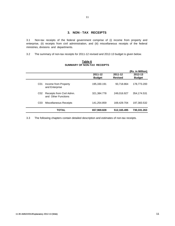#### **3. NON - TAX RECEIPTS**

11

3.1 Non-tax receipts of the federal government comprise of (i) income from property and enterprise, (ii) receipts from civil administration, and (iii) miscellaneous receipts of the federal ministries, divisions and departments.

3.2 The summary of non-tax receipts for 2011-12 revised and 2012-13 budget is given below.

|                 |                                                  |               |                | (Rs. in Million) |
|-----------------|--------------------------------------------------|---------------|----------------|------------------|
|                 |                                                  | 2011-12       | 2011-12        | 2012-13          |
|                 |                                                  | <b>Budget</b> | <b>Revised</b> | <b>Budget</b>    |
| C <sub>01</sub> | Income from Property<br>and Enterprise           | 195,330.191   | 93,718.864     | 178,773.200      |
| CO <sub>2</sub> | Receipts from Civil Admn.<br>and Other Functions | 321,384.778   | 249.016.927    | 354,174.531      |
| CO <sub>3</sub> | Miscellaneous Receipts                           | 141,254.859   | 169,429.704    | 197,383.532      |
|                 | <b>TOTAL</b>                                     | 657,969.828   | 512,165.495    | 730,331.263      |

**SUMMARY OF NON-TAX RECEIPTS Table 6**

3.3 The following chapters contain detailed description and estimates of non-tax receipts.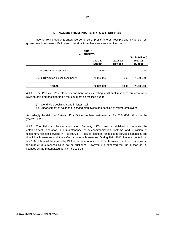#### **4. INCOME FROM PROPERTY & ENTERPRISE**

Income from property & enterprise comprise of profits, interest receipts and dividends from government investments. Estimates of receipts from these sources are given below.

|                                   | <b>4.1 PROFITS</b> |                |                  |
|-----------------------------------|--------------------|----------------|------------------|
|                                   |                    |                | (Rs. in Million) |
|                                   | 2011-12            | 2011-12        | 2012-13          |
|                                   | <b>Budget</b>      | <b>Revised</b> | <b>Budget</b>    |
| C01002 Pakistan Post Office       | $-2,195.000$       | 0.000          | 0.000            |
| C01008 Pakistan Telecom Authority | 75,000.000         | 0.000          | 79,000.000       |
| TOTAL                             | 72,805.000         | 0.000          | 79,000.000       |

**Table 7**

4.1.1 The Pakistan Post Office Department was expecting additional revenues on account of revision of inland postal tariff but that could not be realized due to;-

- (i) World wide declining trend in letter mail World wide declining trend in letter
- (ii) Enhancement of salaries of serving employees and pension of retired employees

Accordingly the deficit of Pakistan Post Office has been estimated at Rs. 2194.866 million for the year 2011-2012.

4.1.2 The Pakistan Telecommunication Authority (PTA) was established to regulate the establishment, operation and maintenance of telecommunication systems and provision of telecommunication services in Pakistan. PTA issues licenses for telecom services against a one time initial license fee and, thereafter, an annual license fee. During 2011-2012, it was expected that Rs.75.00 billion will be earned by PTA on account of auction of 3-G licenses. But due to recession in the market, 3-G licenses could not be auctioned. However, it is expected that the auction of 3-G licenses will be materialized during FY 2012-13.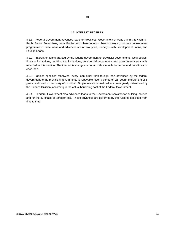#### **4.2 INTEREST RECEIPTS**

4.2.1 Federal Government advances loans to Provinces, Government of Azad Jammu & Kashmir, Public Sector Enterprises, Local Bodies and others to assist them in carrying out their development programmes. These loans and advances are of two types, namely, Cash Development Loans, and Foreign Loans.

4.2.2 Interest on loans granted by the federal government to provincial governments, local bodies, financial institutions, non-financial institutions, commercial departments and government servants is reflected in this section. The interest is chargeable in accordance with the terms and conditions of each loan.

4.2.3 Unless specified otherwise, every loan other than foreign loan advanced by the federal government to the provincial governments is repayable over a period of 25 years. Moratorium of 5 years is allowed on recovery of principal. Simple interest is realized at a rate yearly determined by the Finance Division, according to the actual borrowing cost of the Federal Government.

4.2.4 Federal Government also advances loans to the Government servants for building houses and for the purchase of transport etc.. These advances are governed by the rules as specified from time to time.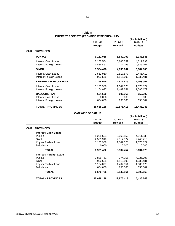|                                                                     | 2011-12<br><b>Budget</b>    | $2011 - 12$<br><b>Revised</b> | (Rs. in Million)<br>2012-13<br><b>Budget</b> |
|---------------------------------------------------------------------|-----------------------------|-------------------------------|----------------------------------------------|
| <b>C012 PROVINCES</b>                                               |                             |                               |                                              |
| <b>PUNJAB</b>                                                       | 9,151.015                   | 5,539.707                     | 8,938.545                                    |
|                                                                     |                             |                               |                                              |
| Interest-Cash Loans<br>Interest-Foreign Loans                       | 5,265.554<br>3,885.461      | 5,265.552<br>274.155          | 4,611.838<br>4,326.707                       |
| <b>SINDH</b>                                                        | 3,554.478                   | 4,033.667                     | 3,684.900                                    |
| Interest-Cash Loans<br>Interest-Foreign Loans                       | 2,561.910<br>992.568        | 2,517.577<br>1,516.090        | 2,445.419<br>1,239.481                       |
| <b>KHYBER PAKHTUNKHWA</b>                                           | 2,298.045                   | 2,611.679                     | 2,163.001                                    |
| Interest-Cash Loans<br>Interest-Foreign Loans                       | 1,133.968<br>1,164.077      | 1,149.328<br>1,462.351        | 1,076.822<br>1,086.179                       |
| <b>BALOCHISTAN</b><br>Interest-Cash Loans<br>Interest-Foreign Loans | 634.600<br>0.000<br>634.600 | 690.365<br>0.000<br>690.365   | 650.302<br>0.000<br>650.302                  |
| <b>TOTAL - PROVINCES</b>                                            | 15,638.138                  | 12,875.418                    | 15,436.748                                   |
|                                                                     | <b>LOAN WISE BREAK UP</b>   |                               |                                              |
|                                                                     |                             |                               | (Rs. in Million)                             |
|                                                                     | 2011-12<br><b>Budget</b>    | 2011-12<br><b>Revised</b>     | 2012-13<br><b>Budget</b>                     |
| <b>C012 PROVINCES</b>                                               |                             |                               |                                              |
| Interest: Cash Loans                                                |                             |                               |                                              |
| Punjab                                                              | 5,265.554                   | 5,265.552                     | 4,611.838                                    |
| Sindh                                                               | 2,561.910                   | 2,517.577                     | 2,445.419                                    |
| Khyber Pakhtunkhwa                                                  | 1,133.968                   | 1,149.328                     | 1,076.822                                    |
| Balochistan                                                         | 0.000                       | 0.000                         | 0.000                                        |
| <b>TOTAL</b>                                                        | 8,961.432                   | 8,932.457                     | 8,134.079                                    |
| <b>Interest: Foreign Loans</b>                                      |                             |                               |                                              |
| Punjab                                                              | 3,885.461                   | 274.155                       | 4,326.707                                    |
| Sindh                                                               | 992.568                     | 1,516.090                     | 1,239.481                                    |
| Khyber Pakhtunkhwa                                                  | 1,164.077                   | 1,462.351                     | 1,086.179                                    |
| Balochistan                                                         | 634.600                     | 690.365                       | 650.302                                      |
| <b>TOTAL</b>                                                        | 6,676.706                   | 3,942.961                     | 7,302.669                                    |
| <b>TOTAL - PROVINCES</b>                                            | 15.638.138                  | 12,875.418                    | 15,436.748                                   |

**INTEREST RECEIPTS (PROVINCE WISE BREAK UP) Table 8**

14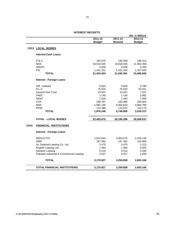|      |                                          |                          |                           | (Rs. in Million)         |
|------|------------------------------------------|--------------------------|---------------------------|--------------------------|
|      |                                          | 2011-12<br><b>Budget</b> | 2011-12<br><b>Revised</b> | 2012-13<br><b>Budget</b> |
|      | C013 LOCAL BODIES                        |                          |                           |                          |
|      | Interest-Cash Loans                      |                          |                           |                          |
|      | P.B.C.                                   | 182.970                  | 194.938                   | 186.313                  |
|      | <b>NHA</b>                               | 19,818.545               | 19,818.545                | 21,962.359               |
|      | <b>SNGPL</b>                             | 0.658                    | 0.658                     | 0.493                    |
|      | <b>PIA</b>                               | 1,431.251                | 1,431.250                 | 1,337.500                |
|      | <b>TOTAL</b>                             | 21,433.424               | 21,445.391                | 23,486.665               |
|      | <b>Interest - Foreign Loans</b>          |                          |                           |                          |
|      | <b>GIK</b> Institute                     | 0.833                    | 0.833                     | 0.799                    |
|      | N.L.C.                                   | 75.025                   | 75.025                    | 63.021                   |
|      | Karachi Port Trust                       | 10.507                   | 10.507                    | 7.257                    |
|      | <b>PAEC</b>                              | 1.140                    | 1.140                     | 0.982                    |
|      | <b>SKMT</b>                              | 1.535                    | 1.493                     | 1.466                    |
|      | <b>CDA</b>                               | 180.787                  | 183.385                   | 166.903                  |
|      | <b>NHA</b>                               | 1,587.130                | 6,352.610                 | 2,662.769                |
|      | <b>PPAF</b>                              | 113.289                  | 124.912                   | 116.175                  |
|      | <b>TOTAL</b>                             | 1,970.246                | 6,749.905                 | 3,019.372                |
|      | <b>TOTAL - LOCAL BODIES</b>              | 23,403.670               | 28,195.296                | 26,506.037               |
| C014 | <b>FINANCIAL INSTITUTIONS</b>            |                          |                           |                          |
|      | <b>Interest - Foreign Loans</b>          |                          |                           |                          |
|      | NDFC/LTCF                                | 2,974.044                | 3,063.075                 | 2,434.136                |
|      | <b>IDBP</b>                              | 187.392                  | 187.392                   | 163.969                  |
|      | Ist. Dawood Leasing Co. Ltd.             | 3.470                    | 3.470                     | 2.313                    |
|      | English Leasing Ltd.                     | 1.384                    | 1.384                     | 0.005                    |
|      | Network Leasing                          | 0.510                    | 0.510                     | 0.284                    |
|      | Pakistan Industrial & Commercial Leasing | 4.027                    | 4.027                     | 2.459                    |
|      | <b>TOTAL</b>                             | 3,170.827                | 3,259.858                 | 2,603.166                |
|      | <b>TOTAL FINANCIAL INSTITUTIONS</b>      | 3,170.827                | 3,259.858                 | 2,603.166                |

15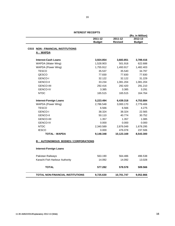|                                            |                          |                               | (Rs. in Million)         |
|--------------------------------------------|--------------------------|-------------------------------|--------------------------|
|                                            | 2011-12<br><b>Budget</b> | $2011 - 12$<br><b>Revised</b> | 2012-13<br><b>Budget</b> |
| C015 NON - FINANCIAL INSTITUTIONS          |                          |                               |                          |
| A: WAPDA                                   |                          |                               |                          |
| <b>Interest-Cash Loans</b>                 | 3,924.854                | 3,683.851                     | 3,789.416                |
| WAPDA (Water Wing)                         | 1,528.903                | 501.918                       | 622.688                  |
| WAPDA (Power Wing)                         | 1,755.912                | 1,493.917                     | 1,482.403                |
| <b>TESCO</b>                               | 35.537                   | 35.540                        | 34.797                   |
| QESCO                                      | 77.830                   | 77.830                        | 77.830                   |
| GENCO-I                                    | 32.122                   | 32.122                        | 31.229                   |
| <b>GENCO-II</b>                            | 33.234                   | 1,081.204                     | 1,081.204                |
| <b>GENCO-IIII</b>                          | 292.416                  | 292.420                       | 291.210                  |
| <b>GENCO-IV</b>                            | 3.385                    | 3.385                         | 3.291                    |
| <b>NTDC</b>                                | 165.515                  | 165.515                       | 164.764                  |
| <b>Interest-Foreign Loans</b>              | 5,223.494                | 6,439.318                     | 4,753.884                |
| WAPDA (Power Wing)                         | 2,786.548                | 3,000.170                     | 2,779.406                |
| <b>TESCO</b>                               | 6.566                    | 6.566                         | 4.275                    |
| <b>GENCO-I</b>                             | 38.324                   | 38.324                        | 22.565                   |
| <b>GENCO-II</b>                            | 50.110                   | 40.774                        | 30.752                   |
| <b>GENCO-IIII</b>                          | 1.357                    | 1.357                         | 1.085                    |
| <b>GENCO-IV</b>                            | 0.000                    | 0.000                         | 0.000                    |
| <b>NTDC</b>                                | 2,340.589                | 2,876.049                     | 1,678.295                |
| <b>IESCO</b>                               | 0.000                    | 476.078                       | 237.506                  |
| <b>TOTAL - WAPDA</b>                       | 9,148.348                | 10,123.169                    | 8,543.300                |
| <b>B: AUTONOMOUS BODIES / CORPORATIONS</b> |                          |                               |                          |
| <b>Interest-Foreign Loans</b>              |                          |                               |                          |
| Pakistan Railways                          | 563.190                  | 564.486                       | 496.538                  |
| Karachi Fish Harbour Authority             | 14.092                   | 14.092                        | 13.028                   |
| <b>TOTAL</b>                               | 577.282                  | 578.578                       | 509.566                  |
|                                            |                          |                               |                          |

#### **INTEREST RECEIPTS**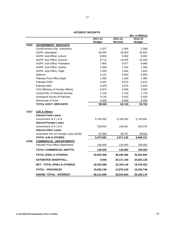#### **INTEREST RECEIPTS**

|      |                                        |               |                | (Rs. in Million) |
|------|----------------------------------------|---------------|----------------|------------------|
|      |                                        | $2011 - 12$   | $2011 - 12$    | $2012 - 13$      |
|      |                                        | <b>Budget</b> | <b>Revised</b> | <b>Budget</b>    |
| C016 | <b>GOVERNMENT SERVANTS</b>             |               |                |                  |
|      | Cantt/Garrison Edu. Institutions       | 2.527         | 2.469          | 2.588            |
|      | AGPR, Islamabad                        | 56.845        | 39.020         | 46.824           |
|      | AGPR, Sub-Office, Lahore               | 9.852         | 9.002          | 9.902            |
|      | AGPR, Sub-Office, Karachi              | 8.712         | 10.426         | 10.426           |
|      | AGPR, Sub-Office, Peshawar             | 7.805         | 8.077          | 8.885            |
|      | AGPR, Sub-Office, Quetta               | 2.938         | 2.234          | 2.346            |
|      | AGPR, Sub-Office, Gilgit               | 1.020         | 1.540          | 1.640            |
|      | Defence                                | 6.161         | 5.600          | 6.900            |
|      | Pakistan Post Office Deptt.            | 1.000         | 1.300          | 1.380            |
|      | Pakistan PWD                           | 0.487         | 0.570          | 0.670            |
|      | Pakistan Mint                          | 0.076         | 0.076          | 0.040            |
|      | CAO (Ministry of Foreign Affairs)      | 0.870         | 0.000          | 0.000            |
|      | Central Dte. of National Savings       | 1.216         | 1.418          | 1.729            |
|      | Geological Survey of Pakistan          | 0.145         | 0.403          | 0.430            |
|      | Directorate of Food                    | 0.005         | 0.000          | 0.000            |
|      | <b>TOTAL GOVT. SERVANTS</b>            | 99.659        | 82.135         | 93.760           |
|      |                                        |               |                |                  |
| C017 | <b>AJK &amp; Others</b>                |               |                |                  |
|      | <b>Interest-Cash Loans</b>             |               |                |                  |
|      | Government of A J & K                  | 5,784.582     | 5,784.582      | 5,745.841        |
|      | <b>Interest-Foreign Loans</b>          |               |                |                  |
|      | Government of A J & K                  | 136.941       | 136.941        | 153.378          |
|      | <b>Interest-Other Loans</b>            |               |                |                  |
|      | Guarantee Fee on Foreign Loans (EAD)   | 52.059        | 49.707         | 49.502           |
|      | <b>TOTAL AJK &amp; OTHERS</b>          | 5,973.582     | 5,971.230      | 5,948.721        |
| C018 | <b>COMMERCIAL DEPARTMENTS</b>          |               |                |                  |
|      | Pakistan Post Office Department        | 130.000       | 130.000        | 150.000          |
|      | TOTAL COMMERCIAL DEPTTS.               | 130.000       | 130.000        | 150.000          |
|      | <b>TOTAL (PSEs &amp; OTHERS)</b>       | 42,503.368    | 48,340.266     | 44,354.550       |
|      | <b>ESTIMATED SHORTFALL</b>             | 0.000         | 26,171.150     | 24,625.128       |
|      | <b>NET - TOTAL (PSEs &amp; OTHERS)</b> | 42,503.368    | 22,169.116     | 19,729.422       |
|      | <b>TOTAL - PROVINCES</b>               | 15,638.138    | 12,875.418     | 15,436.748       |
|      | <b>GRAND TOTAL - INTEREST</b>          | 58,141.506    | 35,044.534     | 35,166.170       |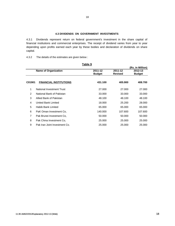#### **4.3 DIVIDENDS ON GOVERNMENT INVESTMENTS**

4.3.1 Dividends represent return on federal government's investment in the share capital of financial institutions and commercial enterprises. The receipt of dividend varies from year to year depending upon profits earned each year by these bodies and declaration of dividends on share capital.

4.3.2 The details of the estimates are given below :

| Table 9        |                               |               |                |                  |
|----------------|-------------------------------|---------------|----------------|------------------|
|                |                               |               |                | (Rs. in Million) |
|                | <b>Name of Organization</b>   | 2011-12       | 2011-12        | 2012-13          |
|                |                               | <b>Budget</b> | <b>Revised</b> | <b>Budget</b>    |
|                |                               |               |                |                  |
| C01901         | <b>FINANCIAL INSTITUTIONS</b> | 431.100       | 405.900        | 408.700          |
|                |                               |               |                |                  |
| 1              | National Investment Trust     | 27.000        | 27.000         | 27,000           |
| $\overline{2}$ | National Bank of Pakistan     | 33,000        | 33,000         | 33,000           |
| 3              | Allied Bank of Pakistan       | 48.100        | 48.100         | 48.100           |
| 4              | <b>United Bank Limited</b>    | 18.000        | 25.200         | 28,000           |
| 5              | <b>Habib Bank Limited</b>     | 65,000        | 65.000         | 65,000           |
| 6              | PaK Oman Investment Co.       | 140.000       | 107.600        | 107.600          |
| $\overline{7}$ | Pak Brunei Investment Co.     | 50,000        | 50,000         | 50.000           |
| 8              | Pak China Investment Co.      | 25,000        | 25,000         | 25,000           |
| 9              | Pak Iran Joint Investment Co. | 25,000        | 25.000         | 25,000           |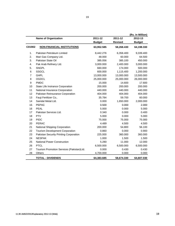|        |                                           |               |                | (Rs. in Million) |
|--------|-------------------------------------------|---------------|----------------|------------------|
|        | <b>Name of Organization</b>               | 2011-12       | 2011-12        | 2012-13          |
|        |                                           | <b>Budget</b> | <b>Revised</b> | <b>Budget</b>    |
| C01902 | <b>NON-FINANCIAL INSTITUTIONS</b>         | 63,952.585    | 58,268.430     | 64,198.330       |
| 1.     | Pakistan Petroleum Limited                | 8,442.276     | 6,358.400      | 9,339.400        |
| 2.     | Mari Gas Company Ltd.                     | 48.000        | 60.000         | 64.500           |
| 3.     | Pakistan State Oil                        | 385.056       | 385.100        | 450.000          |
| 4.     | Pak Arab Refinery Ltd.                    | 3,000.000     | 2,400.000      | 3,000.000        |
| 5.     | SNGPL                                     | 660.000       | 174.000        | 500.000          |
| 6      | <b>SSGCL</b>                              | 600.000       | 1,115.400      | 1,200.000        |
| 7      | <b>GHPL</b>                               | 13,000.000    | 13,000.000     | 13,500.000       |
| 8      | OGDCL                                     | 25,000.000    | 25,000.000     | 26,000.000       |
| 9      | <b>PMDC</b>                               | 15.000        | 14.600         | 17.600           |
| 10     | State Life Insirance Corporation          | 200.000       | 200.000        | 200.000          |
| 11     | National Insurance Ciorporation           | 440.000       | 440.000        | 440.000          |
| 12     | Pakistan Reinsurance Corporation          | 404.000       | 404.000        | 404.000          |
| 13     | Fauji Fertilizer Co,.                     | 35.784        | 59.700         | 60.000           |
| 14     | Saindal Metal Ltd.                        | 0.000         | 1,650.000      | 2,000.000        |
| 15     | <b>PEPAC</b>                              | 0.500         | 0.000          | 2.000            |
| 16     | PEAL                                      | 5.000         | 0.000          | 5.000            |
| 17     | Pakistan Services Ltd.                    | 0.340         | 0.000          | 0.400            |
| 18     | <b>PTV</b>                                | 5.000         | 0.000          | 5.000            |
| 19     | <b>PIDC</b>                               | 75.000        | 75.000         | 75.000           |
| 20     | <b>PERAC</b>                              | 4.489         | 4.500          | 4.500            |
| 21     | National Shipping Corporation             | 200.000       | 54.800         | 56.100           |
| 22     | <b>Tourism Development Corporation</b>    | 0.860         | 0.000          | 0.900            |
| 23     | Pakistan Security Printing Corporation    | 225.000       | 360.000        | 360.000          |
| 24     | <b>NESPAK</b>                             | 1.000         | 1.500          | 1.500            |
| 25     | National Power Construction               | 5.280         | 11.000         | 12.000           |
| 26     | <b>PTCL</b>                               | 6,500.000     | 6,500.000      | 6,500.000        |
| 27     | Tourism Promotion Services (Pakistan)Ltd. | 0.000         | 0.430          | 0.430            |
| 28     | Others                                    | 4,700.000     | 0.000          | 0.000            |
|        | <b>TOTAL - DIVIDENDS</b>                  | 64,383.685    | 58,674.330     | 64,607.030       |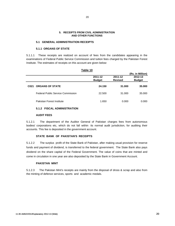#### **5. RECEIPTS FROM CIVIL ADMINISTRATION AND OTHER FUNCTIONS**

#### **5.1 GENERAL ADMINISTRATION RECEIPTS**

#### **5.1.1 ORGANS OF STATE**

5.1.1.1 These receipts are realized on account of fees from the candidates appearing in the examinations of Federal Public Service Commission and tuition fees charged by the Pakistan Forest Institute. The estimates of receipts on this account are given below:

**Table 10**

|                  |                                          | Гаble 10                 |                           |                          |
|------------------|------------------------------------------|--------------------------|---------------------------|--------------------------|
|                  |                                          |                          |                           | (Rs. in Million)         |
|                  |                                          | 2011-12<br><b>Budget</b> | 2011-12<br><b>Revised</b> | 2012-13<br><b>Budget</b> |
| C <sub>021</sub> | <b>ORGANS OF STATE</b>                   | 24.150                   | 31.000                    | 35,000                   |
|                  | <b>Federal Public Service Commission</b> | 22.500                   | 31,000                    | 35,000                   |
|                  | Pakistan Forest Institute                | 1.650                    | 0.000                     | 0.000                    |

#### **5.1.2 FISCAL ADMINISTRATION**

#### **AUDIT FEES**

5.1.2.1 The department of the Auditor General of Pakistan charges fees from autonomous bodies/ corporations etc, which do not fall within its normal audit jurisdiction, for auditing their accounts. This fee is deposited in the government account.

#### **STATE BANK OF PAKISTAN'S RECEIPTS**

5.1.2.2 The surplus profit of the State Bank of Pakistan, after making usual provision for reserve funds and payment of dividend, is transferred to the federal government. The State Bank also pays dividend on the share capital of the Federal Government. The value of coins that are minted and come in circulation in one year are also deposited by the State Bank in Government Account.

#### **PAKISTAN MINT**

5.1.2.3 The Pakistan Mint's receipts are mainly from the disposal of dross & scrap and also from the minting of defence services, sports and academic medals.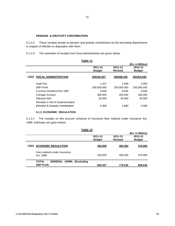#### 21

#### **PENSION & GRATUITY CONTRIBUTION**

5.1.2.4 These receipts pertain to pension and gratuity contributions by the borrowing departments in respect of officials on deputation with them.

5.1.2.5 The estimates of receipts from fiscal administration are given below:

|                                      | Table 11                 |                           |                                              |
|--------------------------------------|--------------------------|---------------------------|----------------------------------------------|
|                                      | 2011-12<br><b>Budget</b> | 2011-12<br><b>Revised</b> | (Rs. in Million)<br>2012-13<br><b>Budget</b> |
| <b>FISCAL ADMINISTRATION</b><br>C022 | 200346.357               | 200298.246                | 200353.646                                   |
| Audit Fee                            | 1.457                    | 1.800                     | 2.000                                        |
| <b>SBP Profit</b>                    | 200,000.000              | 200,000.000               | 200,000.000                                  |
| <b>Currency Dividend from SBP</b>    | 9.600                    | 9.646                     | 9.646                                        |
| Coinage Account                      | 300.000                  | 250.000                   | 300,000                                      |
| Pakistan Mint                        | 35.000                   | 35,000                    | 40.000                                       |
| Receipts in Aid of Superannuation    |                          |                           |                                              |
| (Pension & Gratuity Contribution)    | 0.300                    | 1.800                     | 2.000                                        |
| <b>5.1.3 ECONOMIC REGULATION</b>     |                          |                           |                                              |

5.1.3.1 The receipts on this account comprise of insurance fees realized under Insurance Act, 1989. Estimates are given below :

|      | Table 12                                              |                          |                           |                                              |
|------|-------------------------------------------------------|--------------------------|---------------------------|----------------------------------------------|
|      |                                                       | 2011-12<br><b>Budget</b> | 2011-12<br><b>Revised</b> | (Rs. in Million)<br>2012-13<br><b>Budget</b> |
| C023 | <b>ECONOMIC REGULATION</b>                            | 430.000                  | 450.000                   | 470.000                                      |
|      | Fees realized under Insurance<br>Act, 1989            | 430.000                  | 450.000                   | 470.000                                      |
|      | TOTAL - GENERAL ADMN. (Excluding<br><b>SBP Profit</b> | 800.507                  | 779.246                   | 858,646                                      |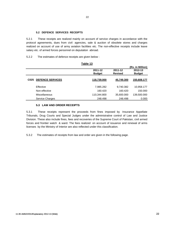#### **5.2 DEFENCE SERVICES RECEIPTS**

5.2.1 These receipts are realized mainly on account of service charges in accordance with the protocol agreements, dues from civil agencies, sale & auction of obsolete stores and charges realized on account of use of army aviation facilities etc. The non-effective receipts include leave salary etc. of armed forces personnel on deputation abroad.

5.2.2 The estimates of defence receipts are given below :

|                  |                         | Laule TJ      |                |                  |
|------------------|-------------------------|---------------|----------------|------------------|
|                  |                         |               |                | (Rs. in Million) |
|                  |                         | 2011-12       | 2011-12        | 2012-13          |
|                  |                         | <b>Budget</b> | <b>Revised</b> | <b>Budget</b>    |
| C <sub>025</sub> | <b>DEFENCE SERVICES</b> | 118,739.000   | 45,749.300     | 150,608.177      |
|                  | Effective               | 7,985.282     | 9,740.382      | 10,958.177       |
|                  | Non-effective           | 160.420       | 160.420        | 150,000          |
|                  | Miscellaneous           | 110,344.800   | 35,600.000     | 139,500.000      |
|                  | <b>Service Charges</b>  | 248.498       | 248.498        | 0.000            |

#### **Table 13**

#### **5.3 LAW AND ORDER RECEIPTS 5.3 LAW AND ORDER**

5.3.1 These receipts represent the proceeds from fines imposed by Insurance Appellate Tribunals, Drug Courts and Special Judges under the administrative control of Law and Justice Division. These also include fines, fees and recoveries of the Supreme Court of Pakistan, civil armed forces and frontier watch & ward. The fees realized on account of issuance and renewal of arms licenses by the Ministry of Interior are also reflected under this classification.

5.3.2 The estimates of receipts from law and order are given in the following page.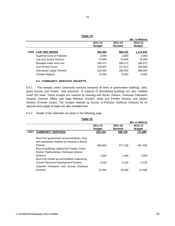| ×<br>I |                   |
|--------|-------------------|
|        | I<br>×<br>w<br>۰. |

**Table 14**

|                                          |               |                | (Rs. in Million) |
|------------------------------------------|---------------|----------------|------------------|
|                                          | 2011-12       | 2011-12        | 2012-13          |
|                                          | <b>Budget</b> | <b>Revised</b> | <b>Budget</b>    |
| <b>LAW AND ORDER</b><br>C <sub>026</sub> | 865.980       | 980.032        | 1,114.633        |
| Supreme Court of Pakistan                | 0.000         | 3.000          | 4.000            |
| Law and Justice Division                 | 70,000        | 70,000         | 75.000           |
| Receipts under Arms Act                  | 290.073       | 290.073        | 290.073          |
| Civil Armed Forces                       | 198.907       | 327.610        | 348,560          |
| <b>Islamabad Capital Territory</b>       | 293,000       | 280.349        | 388,000          |
| <b>Frontier Regions</b>                  | 14.000        | 9.000          | 9.000            |

#### **5.4 COMMUNITY SERVICES RECEIPTS**

5.4.1 The receipts under community services comprise of rents of government buildings, land, guest houses and hostels. Sale proceeds of material of demolished buildings are also credited under this head. These receipts are realized by Housing and Works Division, Overseas Pakistanis Division, Kashmir Affairs and Gilgit Baltistan Division, State and Frontier Division and Interior Division (Frontier Corps). The receipts realized by Survey of Pakistan (Defence Division) for its services and supply of maps are also included here.

5.4.2 Details of the estimates are given in the following page.

|                                                                                                                                                                                              |               |                | (Rs. in Million) |
|----------------------------------------------------------------------------------------------------------------------------------------------------------------------------------------------|---------------|----------------|------------------|
|                                                                                                                                                                                              | 2011-12       | 2011-12        | 2012-13          |
|                                                                                                                                                                                              | <b>Budget</b> | <b>Revised</b> | <b>Budget</b>    |
| <b>COMMUNITY SERVICES</b><br>C027                                                                                                                                                            | 532.134       | 698.730        | 711.580          |
| Rent from government accommodation, land<br>and workshops realized by Housing & Works<br>Division<br>Rent of buildings realized by Frontier Corps.<br>Khyber Pakhtunkhwa, Peshawar (Interior | 508.904       | 677.100        | 687.900          |
| Division)                                                                                                                                                                                    | 1.500         | 1.900          | 1.950            |
| Rent from hostel accommodation realized by<br>Human Resource Development Division                                                                                                            | 0.230         | 0.230          | 0.230            |
| Scientific Research and Survey (Defence<br>Division)                                                                                                                                         | 21.500        | 19.500         | 21.500           |

**Table 15**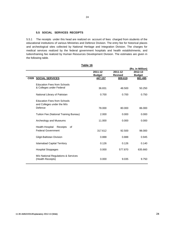#### **5.5 SOCIAL SERVICES RECEIPTS**

5.5.1 The receipts under this head are realized on account of fees charged from students of the educational institutions of various Ministries and Defence Division. The entry fee for historical places and archeological sites collected by National Heritage and Integration Division. The charges for medical services realized by the federal government hospitals and health establishments, and tuition/training fee realized by Human Resources Development Division. The estimates are given in the following table.

| Table 16 |                                        |               |                |                  |
|----------|----------------------------------------|---------------|----------------|------------------|
|          |                                        |               |                | (Rs. in Million) |
|          |                                        | 2011-12       | 2011-12        | 2012-13          |
|          |                                        | <b>Budget</b> | <b>Revised</b> | <b>Budget</b>    |
|          | <b>C028 SOCIAL SERVICES</b>            | 447.157       | 809.619        | 881.495          |
|          | <b>Education Fees from Schools</b>     |               |                |                  |
|          | & Colleges under Federal               | 36.831        | 48.500         | 50.250           |
|          |                                        |               |                |                  |
|          | National Library of Pakistan           | 0.700         | 0.700          | 0.750            |
|          |                                        |               |                |                  |
|          | <b>Education Fees from Schools</b>     |               |                |                  |
|          | and Colleges under the M/o             |               |                |                  |
|          | Defence                                | 78.000        | 80.000         | 86.000           |
|          |                                        |               |                |                  |
|          | Tuition Fee (National Training Bureau) | 2.000         | 0.000          | 0.000            |
|          |                                        |               |                |                  |
|          | Archeology and Museums                 | 11.000        | 0.000          | 0.000            |
|          |                                        |               |                |                  |
|          | Health-Hospital<br>Receipts<br>of      |               |                |                  |
|          | <b>Federal Government</b>              | 317.612       | 92.500         | 98,000           |
|          |                                        |               |                |                  |
|          | Gilgit-Baltistan Division              | 0.888         | 0.888          | 0.945            |
|          |                                        |               |                |                  |
|          | <b>Islamabad Capital Territory</b>     | 0.126         | 0.126          | 0.140            |
|          | <b>Hospital Stoppages</b>              | 0.000         | 577.870        | 635.660          |
|          |                                        |               |                |                  |
|          | M/o National Regulations & Services    |               |                |                  |
|          | (Health Receipts)                      | 0.000         | 9.035          | 9.750            |
|          |                                        |               |                |                  |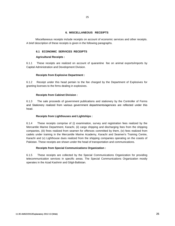#### **6. MISCELLANEOUS RECEIPTS**

Miscellaneous receipts include receipts on account of economic services and other receipts. A brief description of these receipts is given in the following paragraphs.

#### **6.1 ECONOMIC SERVICES RECEIPTS**

#### **Agricultural Receipts :**

6.1.1 These receipts are realized on account of quarantine fee on animal exports/imports by Capital Administration and Development Division.

#### **Receipts from Explosive Department :**

6.1.2 Receipt under this head pertain to the fee charged by the Department of Explosives for granting licenses to the firms dealing in explosives.

#### **Receipts from Cabinet Division :**

6.1.3 The sale proceeds of government publications and stationery by the Controller of Forms and Stationery realized from various government departments/agencies are reflected under this head.

#### **Receipts from Lighthouses and Lightships :**

6.1.4 These receipts comprise of (i) examination, survey and registration fees realized by the Mercantile Marine Department, Karachi, (ii) cargo shipping and discharging fees from the shipping companies, (iii) fines realized from seamen for offences committed by them, (iv) fees realized from cadets under training in the Mercantile Marine Academy, Karachi and Seamen's Training Centre, Karachi and (v) Lighthouse dues realized from the shipping companies operating on the coasts of Pakistan. These receipts are shown under the head of transportation and communications.

#### **Receipts from Special Communications Organization :**

6.1.5 These receipts are collected by the Special Communications Organization for providing telecommunication services in specific areas. The Special Communications Organization mostly operates in the Azad Kashmir and Gilgit-Baltistan.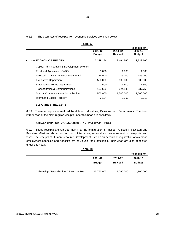6.1.6 The estimates of receipts from economic services are given below.

| Tanie I <i>I</i>                              |               |                |                  |
|-----------------------------------------------|---------------|----------------|------------------|
|                                               |               |                | (Rs. in Million) |
|                                               | 2011-12       | 2011-12        | 2012-13          |
|                                               | <b>Budget</b> | <b>Revised</b> | <b>Budget</b>    |
| <b>C031-35 ECONOMIC SERVICES</b>              | 2,388.254     | 2,404.300      | 2,528.160        |
| Capital Administration & Development Division |               |                |                  |
| Food and Agriculture (CADD)                   | 1.000         | 1.000          | 1.000            |
| Livestock & Diary Development (CADD)          | 185.000       | 175.000        | 185.000          |
| <b>Explosives Department</b>                  | 500.000       | 500.000        | 500.000          |
| <b>Stationery &amp; Forms Department</b>      | 1.500         | 1.500          | 1.500            |
| Transportation & Communications               | 197.650       | 224.540        | 237.750          |
| Special Communications Organization           | 1,500.000     | 1,500.000      | 1,600.000        |
| <b>Islamabad Capital Territory</b>            | 3.104         | 2.260          | 2.910            |

# **6.2 OTHER RECEIPTS**

6.2.1 These receipts are realized by different Ministries, Divisions and Departments. The brief introduction of the main regular receipts under this head are as follows:

#### **CITIZENSHIP, NATURALIZATION AND PASSPORT FEES**

6.2.2 These receipts are realized mainly by the Immigration & Passport Offices in Pakistan and Pakistani Missions abroad on account of issuance, renewal and endorsement of passports and visas. The receipts of Human Resource Development Division on account of registration of overseas employment agencies and deposits by individuals for protection of their visas are also deposited under this head.

**Table 18**

|               |                | (Rs. in Million) |
|---------------|----------------|------------------|
| 2011-12       | 2011-12        | 2012-13          |
| <b>Budget</b> | <b>Revised</b> | <b>Budget</b>    |
|               |                |                  |
| 13,750.000    | 11,760.000     | 14,800.000       |
|               |                |                  |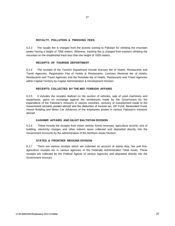#### **ROYALTY, POLLUTION & TREKKING FEES**

6.2.3 The royalty fee is charged from the tourists coming to Pakistan for climbing the mountain peaks having a height of 7000 meters. Whereas, tracking fee is charged from trackers climbing the mountain on the established track less than the height of 7000 meters.

#### **RECEIPTS OF TOURISM DEPARTMENT**

6.2.4 The receipts of the Tourism Department include licenses fee of Hotels, Restaurants and Travel Agencies, Registration Fee of Hotels & Restaurants, Licenses Renewal fee of Hotels, Restaurants and Travel Agencies and the fines/late fee of Hotels, Restaurants and Travel Agencies within Capital Territory by Capital Administration & Development Division.

#### **RECEIPTS COLLECTED BY THE M/O FOREIGN AFFAIRS**

6.2.5 It includes the receipts realized on the auction of vehicles, sale of used machinery and equipments, gains on exchange against the remittances made by the Government for the expenditure of the Pakistan's missions in various countries, recovery of overpayment made to the Government servants posted abroad and the deduction of income tax, GP Fund, Benevolent Fund, House Building and Motor Car Advances of the employees posted in various Pakistan's missions abroad.

#### **KASHMIR AFFAIRS AND GILGIT BALTISTAN DIVISION**

6.2.6 These include the receipts from motor vehicle, forest revenues, agriculture income, rent of building, electricity charges and other indirect taxes collected and deposited directly into the Government Accounts by the administration of the Northern Areas Division.

#### **STATES & FRONTIER REGIONS DIVISION**

6.2.7 There are various receipts which are collected on account of stamp duty, fee and fine, agriculture receipts etc in various agencies in the Federally Administrated Tribal Areas. These receipts are collected by the Political Agents of various Agencies and deposited directly into the Government Account.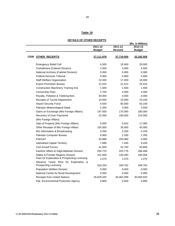# **Table 19**

28

|             | THILD OF UTHER REVEIT TO                                              |               |                | (Rs. in Million) |
|-------------|-----------------------------------------------------------------------|---------------|----------------|------------------|
|             |                                                                       | 2011-12       | 2011-12        | 2012-13          |
|             |                                                                       | <b>Budget</b> | <b>Revised</b> | <b>Budget</b>    |
| <b>C038</b> | <b>OTHER RECEIPTS</b>                                                 | 27,111.976    | 37,719.004     | 32,182.505       |
|             | <b>Emergency Relief Cell</b>                                          | 6.500         | 15.000         | 20.000           |
|             | Toshakhana (Cabinet Division)                                         | 2.500         | 3.000          | 3.500            |
|             | National Archives (Cabinet Division)                                  | 0.065         | 0.065          | 0.065            |
|             | <b>Federal Services Tribunal</b>                                      | 0.900         | 0.900          | 0.900            |
|             | <b>Staff Welfare Organization</b>                                     | 22,000        | 17.000         | 19.000           |
|             | <b>Export Promotion Bureau</b>                                        | 21.025        | 21.012         | 25.014           |
|             | Construction Machinery Training Inst.                                 | 1.500         | 1.500          | 1.500            |
|             | <b>Censorship Fees</b>                                                | 2.700         | 4.000          | 4.000            |
|             | Royalty, Pollution & Trekking fees                                    | 30.000        | 0.000          | 0.000            |
|             | Receipts of Tourist Department                                        | 10.000        | 10.000         | 10.100           |
|             | <b>Airport Security Force</b>                                         | 4.500         | 60.560         | 63.100           |
|             | Pakistan Meteorological Deptt.                                        | 2.350         | 3.000          | 3.500            |
|             | Gains on Exchange (M/o Foreign Affairs)                               | 147.500       | 175.000        | 180.000          |
|             | Recovery of Over Payments                                             | 22,000        | 190.000        | 210.000          |
|             | (M/o Foreign Affairs)                                                 |               |                |                  |
|             | Sale of Property (M/o Foreign Affairs)                                | 5.500         | 5.552          | 17.000           |
|             | Other Receipts of M/o Foreign Affairs                                 | 155.000       | 30.000         | 43.000           |
|             | M/o Information & Broadcasting                                        | 0.250         | 0.250          | 0.150            |
|             | Pakistan Computer Bureau                                              | 0.900         | 2.330          | 2.355            |
|             | <b>PAKSAT</b>                                                         | 55.889        | 250.000        | 0.000            |
|             | <b>Islamabad Capital Territory</b>                                    | 7.896         | 7.445          | 9.430            |
|             | Civil Armed Forces                                                    | 41.000        | 52.750         | 53.800           |
|             | Kashmir Affairs & Gilgit-Baltistan Division                           | 250.723       | 253.776        | 286.468          |
|             | States & Frontier Regions Division                                    | 151.000       | 150.493        | 160.058          |
|             | Fees for Exploration & Prospecting Licensing                          | 2.070         | 1.070          | 1.070            |
|             | Advance Yearly Rent for Exploration &<br><b>Prospecting Licensing</b> | 316.333       | 349.762        | 349.762          |
|             | Population Welfare Division                                           | 0.000         | 0.000          | 0.000            |
|             | National Centre for Rural Development                                 | 0.000         | 0.000          | 0.000            |
|             | <b>Receipts from United Nations</b>                                   | 25,629.425    | 25,462.099     | 30,000.033       |
|             | Pak. Environmental Protection Agency                                  | 0.800         | 0.500          | 0.800            |

### **DETAILS OF OTHER RECEIPTS**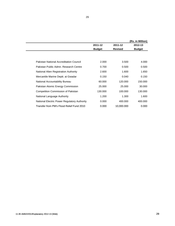|                                              |               |                | (Rs. in Million) |
|----------------------------------------------|---------------|----------------|------------------|
|                                              | 2011-12       | 2011-12        | 2012-13          |
|                                              | <b>Budget</b> | <b>Revised</b> | <b>Budget</b>    |
|                                              |               |                |                  |
| Pakistan National Accreditation Council      | 2.000         | 3.500          | 4.000            |
| Pakistan Public Admn. Research Centre        | 0.700         | 0.500          | 0.500            |
| National Alien Registration Authority        | 2.600         | 1.600          | 1.650            |
| Mercantile Marine Deptt. at Gwadar           | 0.150         | 0.040          | 0.150            |
| National Accountability Bureau               | 60,000        | 120.000        | 150,000          |
| Pakistan Atomic Energy Commission            | 25,000        | 25,000         | 30.000           |
| <b>Competition Commission of Pakistan</b>    | 130.000       | 100.000        | 130,000          |
| National Language Authority                  | 1.200         | 1.300          | 1.600            |
| National Electric Power Regulatory Authority | 0.000         | 400,000        | 400,000          |
| Transfer from PM's Flood Relief Fund 2010    | 0.000         | 10,000.000     | 0.000            |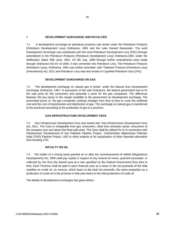#### **7 DEVELOPMENT SURCHARGE AND ROYALTIES**

7.1 A development surcharge on petroleum products was levied under the Petroleum Products (Petroleum Development Levy) Ordinance, 1961 and the rules framed thereunder. The word Development Surcharge was substituted with the word Petroleum Development Levy (PDL) through amendment in the Petroleum Products (Petroleum Development Levy) Ordinance,1961 under the Notification dated 29th June, 2001. On 8th July, 2009 through further amendments were made through Ordinance NO.XV of 2009, it was converted into Petroleum Levy. The Petroleum Products (Petroleum Levy), Ordinance, 1961 was further amended, vide "Pakistan Products (Petroleum Levy) (Amendment) Act, 2011 and Petroleum Levy was also levied on Liquefied Petroleum Gas (LPG).

#### **DEVELOPMENT SURCHARGE ON GAS**

7.2 The development surcharge on natural gas is levied under the Natural Gas Development Surcharge Ordinance, 1967. In pursuance of the said Ordinance, the federal government has to fix the sale price for the consumers and prescribe a price for the gas companies. The difference between the two prices is the margin available to the government as development surcharge. The prescribed prices of the gas companies undergo changes from time to time to cover the wellhead cost and the cost of transmission and distribution of gas. The surcharge on natural gas is transferred to the provinces according to the production of gas in a province.

#### **GAS INFRASTRUCTURE DEVELOPMENT CESS**

7.3 Gas Infrastructure Development Cess was levied vide "Gas Infrastructure Development Cess Act, 2011. The Cess is chargeable from gas consumers, other than domestic sector consumers of the company over and above the fixed sale price. The Cess shall be utilized for or in connection with Infrastructure Development of Iran Pakistan Pipeline Project, Turkmenistan Afghanistan Pakistan India (TAPI) Pipeline Project, LNG or other projects or for equalization of other imported alternative fuel including LPG.

#### **ROYALTY ON OIL**

7.4 The holder of a mining lease granted on or after the commencement of oilfield (Regulations Development) Act, 1969 shall pay royalty in respect of any mineral oil mines, quarried excavated or collected by him from the leased area at a rate specified by the Federal Government from time to time. Each Province shall be paid in each financial year as a share in the net proceeds of the total royalties on crude oil, an amount, which bears to the total net proceeds, the same proportion as a production of crude oil in the province in that year bears to the total production of crude oil.

The details of development surcharges has given below:-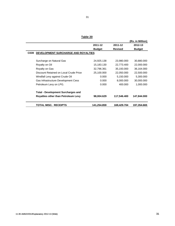31

**Table 20**

|                                             |               |                | (Rs. in Million) |
|---------------------------------------------|---------------|----------------|------------------|
|                                             | 2011-12       | 2011-12        | 2012-13          |
|                                             | <b>Budget</b> | <b>Revised</b> | <b>Budget</b>    |
| DEVELOPMENT SURCHARGE AND ROYALTIES<br>C039 |               |                |                  |
|                                             |               |                |                  |
| Surcharge on Natural Gas                    | 24,925.138    | 23,980.000     | 30,880.000       |
| Royalty on Oil                              | 15,183.130    | 22,773.400     | 22,000.000       |
| Royalty on Gas                              | 32,796.361    | 35,193.000     | 36,164.000       |
| Discount Retained on Local Crude Price      | 25,100.000    | 22,050.000     | 22,500.000       |
| Windfall Levy against Crude Oil             | 0.000         | 5,150.000      | 5,300.000        |
| Gas Infrastructure Development Cess         | 0.000         | 8,000.000      | 30,000.000       |
| Petroleum Levy on LPG.                      | 0.000         | 400.000        | 1,000.000        |
| <b>Total - Development Surcharges and</b>   |               |                |                  |
| <b>Royalties other than Petroleum Levy</b>  | 98,004.629    | 117,546.400    | 147,844.000      |
| <b>TOTAL MISC. RECEIPTS</b>                 | 141,254.859   | 169,429.704    | 197,354.665      |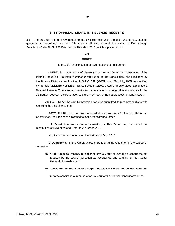#### **8. PROVINCIAL SHARE IN REVENUE RECEIPTS**

8.1 The provincial share of revenues from the divisible pool taxes, straight transfers etc. shall be governed in accordance with the 7th National Finance Commission Award notified through President's Order No.5 of 2010 issued on 10th May, 2010, which is place below:

#### **AN**

#### **ORDER**

to provide for distribution of revenues and certain grants

WHEREAS in pursuance of clause (1) of Article 160 of the Constitution of the Islamic Republic of Pakistan (hereinafter referred to as the Constitution), the President, by the Finance Division's Notification No.S.R.O. 739(I)/2005 dated 21st July, 2005, as modified by the said Division's Notification No.S.R.O.693(I)/2009, dated 24th July, 2009, appointed a National Finance Commission to make recommendations, among other matters, as to the distribution between the Federation and the Provinces of the net proceeds of certain taxes;

AND WHEREAS the said Commission has also submitted its recommendations with regard to the said distribution;

NOW, THEREFORE, **in pursuance of** clauses (4) and (7) of Article 160 of the Constitution, the President is pleased to make the following Order:-

**1. Short title and commencement.**- (1) This Order may be called the Distribution of Revenues and Grant-in-Aid Order, 2010.

(2) It shall come into force on the first day of July, 2010.

**2. Definitions.-** In this Order, unless there is anything repugnant in the subject or context.---

- (a) **"Net Proceeds"** means, in relation to any tax, duty or levy, the proceeds thereof reduced by the cost of collection as ascertained and certified by the Auditor General of Pakistan, and
- (b) **"taxes on income**" **includes corporation tax but does not include taxes on**

**income** consisting of remuneration paid out of the Federal Consolidated Fund.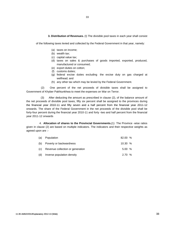**3. Distribution of Revenues.** (I) The divisible pool taxes in each year shall consist

of the following taxes levied and collected by the Federal Government in that year, namely:

- (a) taxes on income;
- (b) wealth tax;
- (c) capital value tax;
- (d) taxes on sales & purchases of goods imported, exported, produced, manufactured or consumed;
- (e) export duties on cotton;
- (f) customs duties;
- (g) federal excise duties excluding the excise duty on gas charged at wellhead; and
- (h) any other tax which may be levied by the Federal Government.

(2) One percent of the net proceeds of divisible taxes shall be assigned to Government of Khyber Pakhtunkhwa to meet the expenses on War on Terror.

(3) After deducting the amount as prescribed in clause (2), of the balance amount of the net proceeds of divisible pool taxes, fifty six percent shall be assigned to the provinces during the financial year 2010-11 and fifty seven and a half percent from the financial year 2011-12 onwards. The share of the Federal Government in the net proceeds of the divisible pool shall be forty-four percent during the financial year 2010-11 and forty -two and half percent from the financial year 2011-12 onwards

4. **Allocation of shares to the Provincial Governments.**(1) The Province -wise ratios given in clause (2) are based on multiple indicators. The indicators and their respective weights as agreed upon are :-

| (a) | Population                       | 82.00 % |  |
|-----|----------------------------------|---------|--|
| (b) | Poverty or backwardness          | 10.30%  |  |
| (c) | Revenue collection or generation | 5.00%   |  |
| (d) | Inverse population density       | 2.70 %  |  |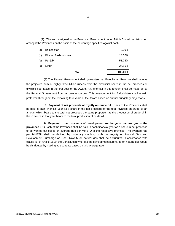(2) The sum assigned to the Provincial Government under Article 3 shall be distributed amongst the Provinces on the basis of the percentage specified against each:-

|     | Total:             | 100.00% |
|-----|--------------------|---------|
| (d) | Sindh              | 24.55%  |
| (c) | Punjab             | 51.74%  |
| (b) | Khyber Pakhtunkhwa | 14.62%  |
| (a) | <b>Balochistan</b> | 9.09%   |

(3) The Federal Government shall guarantee that Balochistan Province shall receive the projected sum of eighty-three billion rupees from the provincial share in the net proceeds of divisible pool taxes in the first year of the Award. Any shortfall in this amount shall be made up by the Federal Government from its own resources. This arrangement for Balochistan shall remain protected throughout the remaining four years of the Award based on annual budgetary projections.

**5. Payment of net proceeds of royalty on crude oil :** Each of the Provinces shall be paid in each financial year as a share in the net proceeds of the total royalties on crude oil an amount which bears to the total net proceeds the same proportion as the production of crude oil in the Province in that year bears to the total production of crude oil.

**6. Payment of net proceeds of development surcharge on natural gas to the provinces :** (1) Each of the Provinces shall be paid in each financial year as a share in net proceeds to be worked out based on average rate per MMBTU of the respective province. The average rate per MMBTU shall be derived by notionally clubbing both the royalty on Natural Gas and Development Surcharge on Gas. Royalty on natural gas shall be distributed in accordance with clause (1) of Article 161of the Constitution whereas the development surcharge on natural gas would be distributed by making adjustments based on this average rate.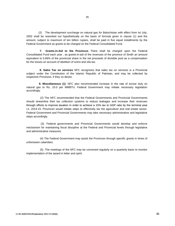(2) The development surcharge on natural gas for Balochistan with effect from Ist July, 2002 shall be reworked out hypothetically on the basis of formula given in clause (1) and the amount, subject to maximum of ten billion rupees, shall be paid in five equal installments by the Federal Government as grants to be charged on the Federal Consolidated Fund.

**7. Grants-in-Aid to the Provinces** There shall be charged upon the Federal Consolidated Fund each year , as grants-in-aid of the revenues of the province of Sindh an amount equivalent to 0.66% of the provincial share in the net proceeds of divisible pool as a compensation for the losses on account of abolition of octroi and zila tax.

**8. Sales Tax on services** NFC recognizes that sales tax on services is a Provincial subject under the Constitution of the Islamic Republic of Pakistan, and may be collected by respective Provinces, if they so desire.

**9. Miscellaneous (1)** NFC also recommended increase in the rate of excise duty on natural gas to Rs. 10.0 per MMBTU. Federal Government may initiate necessary legislation accordingly.

(2) The NFC recommended that the Federal Governments and Provincial Governments should streamline their tax collection systems to reduce leakages and increase their revenues through efforts to improve taxation in order to achieve a 15% tax to GDP ratio by the terminal year i.e. 2014-15. Provinces would initiate steps to effectively tax the agriculture and real estate sector. Federal Government and Provincial Governments may take necessary administrative and legislative steps accordingly.

(3) Federal governments and Provincial Governments would develop and enforce mechanism for maintaining fiscal discipline at the Federal and Provincial levels through legislative and administrative measures.

(4) The Federal Government may assist the Provinces through specific grants in times of unforeseen calamities.

(5) The meetings of the NFC may be convened regularly on a quarterly basis to monitor implementation of the award in letter and spirit.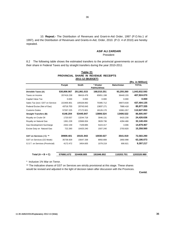10. **Repeal.-** The Distribution of Revenues and Grant-in-Aid Order, 1997 (P.O.No.1 of 1997), and the Distribution of Revenues and Grants-in-Aid, Order, 2010. (P.O. 4 of 2010) are hereby repealed.

#### **ASIF ALI ZARDARI**

President

8.2 The following table shows the estimated transfers to the provincial governments on account of their share in Federal Taxes and by straight transfers during the year 2010-2011

**PROVINCIAL SHARE IN REVENUE RECEIPTS**

**Table 21**

| 2011-12 (BUDGET)                 |             |             |             |                    |                  |
|----------------------------------|-------------|-------------|-------------|--------------------|------------------|
|                                  |             |             |             |                    | (Rs. in Million) |
|                                  | Punjab      | Sindh       | * Khyber    | <b>Balochistan</b> | <b>TOTAL</b>     |
|                                  |             |             | Pakhtunkhwa |                    |                  |
| Divisible Taxes (A)              | 530,806.067 | 251,861.015 | 168,010.251 | 93,255.260         | 1,043,932.593    |
| Taxes on Income                  | 207416.238  | 98416.479   | 65651.198   | 36440.155          | 407,924.070      |
| Capital Value Tax                | 0.000       | 0.000       | 0.000       | 0.000              | 0.000            |
| Sales Tax (excl. GST on Service: | 222405.901  | 105528.892  | 70395.712   | 39073.630          | 437,404.135      |
| Federal Excise (Net of Gas)      | 43716.703   | 20743.043   | 13837.171   | 7680.418           | 85,977.335       |
| <b>Customs Duties</b>            | 57267.225   | 27172.601   | 18126.170   | 10061.057          | 112,627.053      |
| <b>Straight Transfers (B)</b>    | 6146.204    | 53445.847   | 13806.524   | 13406.522          | 86,805.097       |
| Royalty on Crude Oil             | 1720.557    | 13244.718   | 3046.131    | 6415.230           | 24,426.636       |
| Royalty on Natural Gas           | 1361.228    | 22666.004   | 3828.736    | 4284.466           | 32,140.434       |
| <b>Gas Development Surcharge</b> | 2342.159    | 7109.885    | 5424.417    | 3.006              | 14,879.467       |
| Excise Duty on Natural Gas       | 722.260     | 10425.240   | 1507.240    | 2703.820           | 15,358.560       |
| GST on Services (C) **           | 39909.401   | 19101.943   | 10030.027   | 3541.919           | 72,583.290       |
| GST on Services (CE Mode)        | 35736.929   | 15647.338   | 8950.808    | 2850.998           | 63,186.073       |
| G.S.T. on Services (Provincial)  | 4172.472    | 3454.605    | 1079.219    | 690.921            | 9,397.217        |
| Total $(A + B + C)$              | 576861.672  | 324408.805  | 191846.802  | 110203.701         | 1203320.980      |

\* Inclusive 1% War on Terror.

\*\* The indicative shares of GST on Services are strictly provisional at this stage. These shares would be revised and adjusted in the light of decision taken after discussion with the Provinces.

**Contd.**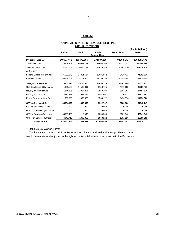### 37

## **Table 22**

#### **PROVINCIAL SHARE IN REVENUE RECEIPTS 2011-12 (REVISED)**

|                                  |            |              |                         |                    | (Rs. in Million) |
|----------------------------------|------------|--------------|-------------------------|--------------------|------------------|
|                                  | Punjab     | <b>Sindh</b> | * Khyber<br>Pakhtunkhwa | <b>Balochistan</b> | <b>TOTAL</b>     |
| Divisible Taxes (A)              | 540527.455 | 256473.695   | 171087.255              | 94963.173          | 1063051.578      |
| Taxes on Income                  | 210706.726 | 99977.776    | 66692.700               | 37018.248          | 414395.450       |
| Sales Tax excl. GST              | 232580.747 | 110356.732   | 73616.245               | 40861.210          | 457414.934       |
| on Services                      |            |              |                         |                    |                  |
| Federal Excise (Net of Gas)      | 36590.375  | 17361.687    | 11581.552               | 6428.421           | 71962.035        |
| <b>Customs Duties</b>            | 60649.607  | 28777.500    | 19196.758               | 10655.294          | 119279.159       |
| <b>Straight Transfers (B)</b>    | 8856.016   | 55105.910    | 17493.778               | 13062.248          | 94517.952        |
| <b>Gas Development Surcharge</b> | 1801.182   | 14589.891    | 2158.795                | 4970.602           | 23520.470        |
| Royalty on Natural Gas           | 1844.821   | 23097.894    | 3950.204                | 5594.251           | 34487.170        |
| Royalty on Crude Oil             | 4517.428   | 7948.496     | 9851.607                | 0.421              | 22317.952        |
| Excise Duty on Natural Gas       | 692.585    | 9469.629     | 1533.172                | 2496.974           | 14192.360        |
| GST on Services (C) **           | 36564.170  | 1895.850     | 8922.767                | 3662.960           | 51045.747        |
| GST on Services (CE Mode)        | 0.000      | 0.000        | 0.000                   | 0.000              | 0.000            |
| G.S.T. on Services (Provincial)  | 0.000      | 0.000        | 0.000                   | 0.000              | 0.000            |
| GST on Services (Telecom)        | 30520.460  | 0.000        | 7359.545                | 2661.840           | 40541.845        |
| G.S.T. on Services (Others)      | 6043.710   | 1895.850     | 1563.222                | 1001.120           | 10503.902        |
| Total $(A + B + C)$              | 585947.641 | 313475.455   | 197503.800              | 111688.381         | 1208615.277      |
|                                  |            |              |                         |                    |                  |

\* Inclusive 1% War on Terror.

\*\* The indicative shares of GST on Services are strictly provisional at this stage. These shares would be revised and adjusted in the light of decision taken after discussion with the Provinces.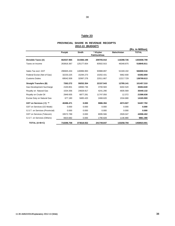# 38

# **Table 23**

#### **PROVINCIAL SHARE IN REVENUE RECEIPTS 2012-13 (BUDGET)**

|                                  |            |            |                         |                    | (Rs. in Million) |
|----------------------------------|------------|------------|-------------------------|--------------------|------------------|
|                                  | Punjab     | Sindh      | * Khyber<br>Pakhtunkhwa | <b>Balochistan</b> | <b>TOTAL</b>     |
| Divisible Taxes (A)              | 662537.965 | 314366.198 | 209705.910              | 116398.726         | 1303008.799      |
| Taxes on Income                  | 263816.367 | 125177.654 | 83502.915               | 46348.875          | 518845.811       |
| Sales Tax excl. GST              | 296945.434 | 140896.993 | 93988.897               | 52169.192          | 584000.516       |
| Federal Excise (Net of Gas)      | 32233.225  | 15294.273  | 10202.431               | 5662.930           | 63392.859        |
| <b>Customs Duties</b>            | 69542.939  | 32997.278  | 22011.667               | 12217.729          | 136769.613       |
| <b>Straight Transfers (B)</b>    | 7262.272   | 59252.354  | 22157.543               | 12785.141          | 101457.310       |
| <b>Gas Development Surcharge</b> | 2100.801   | 18060.736  | 3700.583                | 6402.520           | 30264.640        |
| Royalty on Natural Gas           | 1534.356   | 24828.917  | 4241.290                | 4835.569           | 35440.132        |
| Royalty on Crude Oil             | 2949.935   | 6877.281   | 11747.050               | 12.372             | 21586.638        |
| Excise Duty on Natural Gas       | 677.180    | 9485.420   | 2468.620                | 1534.680           | 14165.900        |
| GST on Services (C) **           | 40496.471  | 0.000      | 9886.394                | 4074.927           | 54457.792        |
| GST on Services (CE Mode)        | 0.000      | 0.000      | 0.000                   | 0.000              | 0.000            |
| G.S.T. on Services (Provincial)  | 0.000      | 0.000      | 0.000                   | 0.000              | 0.000            |
| GST on Services (Telecom)        | 33572.789  | 0.000      | 8095.566                | 2928.047           | 44596.402        |
| G.S.T. on Services (Others)      | 6923.682   | 0.000      | 1790.828                | 1146.880           | 9861.390         |
| TOTAL (A+B+C)                    | 710296.708 | 373618.552 | 241749.847              | 133258.794         | 1458923.901      |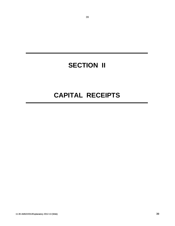# **SECTION II**

39

# **CAPITAL RECEIPTS**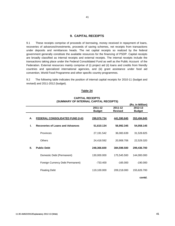#### **9. CAPITAL RECEIPTS**

9.1 These receipts comprise of proceeds of borrowing, money received in repayment of loans, recoveries of advances/investments, proceeds of saving schemes, net receipts from transactions under deposits and remittances heads. The net capital receipts so realized by the federal government generally constitute the available resources for the financing of PSDP. Capital receipts are broadly classified as internal receipts and external receipts. The internal receipts include the transactions taking place under the Federal Consolidated Fund as well as the Public Account of the Federation. External resources mainly comprise of (i) project aid (ii) loans and credits from friendly countries and specialized international agencies, and (iii) grant assistance under food aid convention, World Food Programme and other specific country programmes.

9.2 The following table indicates the position of internal capital receipts for 2010-11 (budget and revised) and 2011-2012 (budget).

#### **Table 24**

#### **CAPITAL RECEIPTS (SUMMARY OF INTERNAL CAPITAL RECEIPTS)**

|    |                                         |               |                | (Rs. in Million) |
|----|-----------------------------------------|---------------|----------------|------------------|
|    |                                         | 2011-12       | 2011-12        | 2012-13          |
|    |                                         | <b>Budget</b> | <b>Revised</b> | <b>Budget</b>    |
| А. | <b>FEDERAL CONSOLIDATED FUND (I+II)</b> | 299,976.734   | 441,590.845    | 353,494.845      |
| L. | <b>Recoveries of Loans and Advances</b> | 51,610.134    | 56,992.345     | 54,058.145       |
|    | <b>Provinces</b>                        | 27,191.542    | 36,083.639     | 31,528.825       |
|    | <b>Others</b>                           | 24,418.592    | 20,908.706     | 22,529.320       |
| Ш. | <b>Public Debt</b>                      | 248,366.600   | 384,598.500    | 299,436.700      |
|    | Domestic Debt (Permanent)               | 130,000.000   | 175,545.500    | 144,000.000      |
|    | Foreign Currency Debt Permanent)        | $-733.400$    | $-165.000$     | $-190.000$       |
|    | <b>Floating Debt</b>                    | 119,100.000   | 209,218.000    | 155,626.700      |
|    |                                         |               |                | contd.           |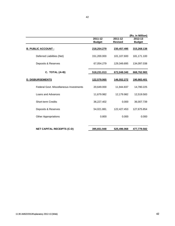|                                         |                          |                           | (Rs. in Million)         |
|-----------------------------------------|--------------------------|---------------------------|--------------------------|
|                                         | 2011-12<br><b>Budget</b> | 2011-12<br><b>Revised</b> | 2012-13<br><b>Budget</b> |
| <b>B. PUBLIC ACCOUNT:</b>               | 218,254.279              | 230,457.495               | 315,268.138              |
| Deferred Liabilities (Net)              | 151,200.000              | 101,107.600               | 181,171.100              |
| Deposits & Reserves                     | 67,054.279               | 129,349.895               | 134,097.038              |
| C. TOTAL (A+B)                          | 518,231.013              | 672,048.340               | 668,762.983              |
| <b>D. DISBURSEMENTS</b>                 | 122,579.065              | 146,552.272               | 190,983.401              |
| Federal Govt, Miscellaneous Investments | 20,649.000               | 11,944.837                | 14,780.225               |
| Loans and Advances                      | 11,679.982               | 12,179.982                | 12,519.583               |
| <b>Short-term Credits</b>               | 36,227.402               | 0.000                     | 36,007.739               |
| Deposits & Reserves                     | 54,021.881               | 122,427.453               | 127,675.854              |
| <b>Other Appropriations</b>             | 0.800                    | 0.000                     | 0.000                    |
| <b>NET CAPITAL RECEIPTS (C-D)</b>       | 395,651.948              | 525,496.068               | 477,779.582              |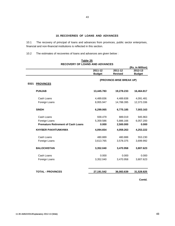10.1 The recovery of principal of loans and advances from provinces, public sector enterprises, financial and non-financial institutions is reflected in this section.

10.2 The estimates of recoveries of loans and advances are given below :

|      |                                           |               |                          | (Rs. in Million) |
|------|-------------------------------------------|---------------|--------------------------|------------------|
|      |                                           | 2011-12       | 2011-12                  | 2012-13          |
|      |                                           | <b>Budget</b> | <b>Revised</b>           | <b>Budget</b>    |
|      |                                           |               | (PROVINCE-WISE BREAK UP) |                  |
| E021 | <b>PROVINCES</b>                          |               |                          |                  |
|      | <b>PUNJAB</b>                             | 13,445.783    | 19,278.233               | 16,464.817       |
|      | Cash Loans                                | 4,489.836     | 4,489.838                | 4,091.481        |
|      | Foreign Loans                             | 8,955.947     | 14,788.395               | 12,373.336       |
|      | <b>SINDH</b>                              | 6,299.065     | 6,775.185                | 7,003.163        |
|      | Cash Loans                                | 939.479       | 889.019                  | 945.963          |
|      | Foreign Loans                             | 5,359.586     | 5,886.166                | 6,057.200        |
|      | <b>Premature Retirement of Cash Loans</b> | 0.000         | 2,500.000                | 0.000            |
|      | <b>KHYBER PAKHTUNKHWA</b>                 | 4,094.654     | 4,059.263                | 4,253.222        |
|      | Cash Loans                                | 480.889       | 480.888                  | 553.230          |
|      | Foreign Loans                             | 3,613.765     | 3,578.375                | 3,699.992        |
|      | <b>BALOCHISTAN</b>                        | 3,352.040     | 3,470.958                | 3,807.623        |
|      | Cash Loans                                | 0.000         | 0.000                    | 0.000            |
|      | Foreign Loans                             | 3,352.040     | 3,470.958                | 3,807.623        |
|      | <b>TOTAL - PROVINCES</b>                  | 27,191.542    | 36,083.639               | 31,528.825       |

#### **RECOVERY OF LOANS AND ADVANCES Table 25**

**Contd.**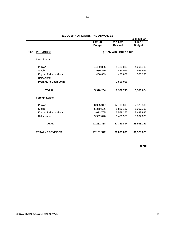|                            |               |                      | (Rs. in Million) |
|----------------------------|---------------|----------------------|------------------|
|                            | 2011-12       | 2011-12              | 2012-13          |
|                            | <b>Budget</b> | <b>Revised</b>       | <b>Budget</b>    |
| E021<br><b>PROVINCES</b>   |               | (LOAN-WISE BREAK UP) |                  |
| <b>Cash Loans</b>          |               |                      |                  |
| Punjab                     | 4,489.836     | 4,489.838            | 4,091.481        |
| Sindh                      | 939.479       | 889.019              | 945.963          |
| Khyber PakhtunKhwa         | 480.889       | 480.888              | 553.230          |
| Balochistan                |               |                      |                  |
| <b>Premature Cash Loan</b> |               | 2,500.000            |                  |
| <b>TOTAL</b>               | 5,910.204     | 8,359.745            | 5,590.674        |
| <b>Foreign Loans</b>       |               |                      |                  |
| Punjab                     | 8,955.947     | 14,788.395           | 12,373.336       |
| Sindh                      | 5,359.586     | 5,886.166            | 6,057.200        |
| Khyber PakhtunKhwa         | 3,613.765     | 3,578.375            | 3,699.992        |
| Balochistan                | 3,352.040     | 3,470.958            | 3,807.623        |
| <b>TOTAL</b>               | 21,281.338    | 27,723.894           | 25,938.151       |
| <b>TOTAL - PROVINCES</b>   | 27,191.542    | 36,083.639           | 31,528.825       |

**contd.**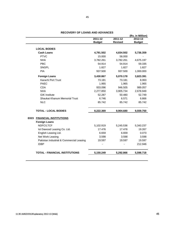|           |                              | (Rs. in Million)              |
|-----------|------------------------------|-------------------------------|
|           |                              | $2012 - 13$                   |
|           |                              | <b>Budget</b>                 |
|           |                              |                               |
| 4,791.502 | 4,834.502                    | 5,736.359                     |
| 15.000    | 58.000                       |                               |
| 3,782.261 | 3,782.261                    | 4,675.197                     |
| 54.914    | 54.914                       | 59.335                        |
| 1.827     | 1.827                        | 1.827                         |
| 937.500   | 937.500                      | 1,000.000                     |
| 3,430.867 | 5,070.178                    | 3,823.391                     |
| 73.181    | 73.181                       | 8.063                         |
| 1.965     | 1.965                        | 1.965                         |
| 933.096   | 946.505                      | 989.057                       |
| 2,277.850 | 3,905.734                    | 2,678.949                     |
| 52.287    | 50.480                       | 52.749                        |
| 6.746     | 6.571                        | 6.866                         |
| 85.742    | 85.742                       | 85.742                        |
| 8,222.369 | 9,904.680                    | 9,559.750                     |
|           |                              |                               |
|           |                              |                               |
| 5,102.919 | 5,245.536                    | 5,343.237                     |
| 17.476    | 17.476                       | 19.267                        |
| 6.659     | 6.659                        | 0.073                         |
| 3.598     | 3.598                        | 3.598                         |
| 19.597    | 19.597                       | 19.597                        |
|           |                              | 212.946                       |
| 5,150.249 | 5,292.866                    | 5,598.718                     |
|           | $2011 - 12$<br><b>Budget</b> | $2011 - 12$<br><b>Revised</b> |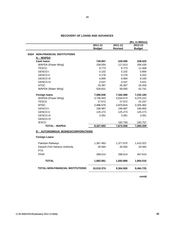|                                                  |               |                | (Rs. in Million) |
|--------------------------------------------------|---------------|----------------|------------------|
|                                                  | 2011-12       | 2011-12        | 2012-13          |
|                                                  | <b>Budget</b> | <b>Revised</b> | <b>Budget</b>    |
| <b>E024</b><br><b>NON-FINANCIAL INSTITUTIONS</b> |               |                |                  |
| A - WAPDA                                        |               |                |                  |
| <b>Cash Ioans</b>                                | 740.857       | 229.590        | 328.025          |
| WAPDA (Power Wing)                               | 158.054       | 117.613        | 206.430          |
| <b>TESCO</b>                                     | 9.773         | 9.773          | 11.468           |
| <b>GENCO-I</b>                                   | 5.102         | 5.102          | 5.994            |
| <b>GENCO-II</b>                                  | 5.278         | 5.278          | 6.202            |
| <b>GENCO-III</b>                                 | 6.895         | 6.900          | 8.100            |
| <b>GENCO-IV</b>                                  | 0.537         | 0.537          | 0.631            |
| <b>NTDC</b>                                      | 26.387        | 26.387         | 26.459           |
| WAPDA (Water Wing)                               | 528.831       | 58.000         | 62.741           |
| <b>Foreign loans</b>                             | 7,586.836     | 7,442.468      | 7,232.184        |
| WAPDA (Power Wing)                               | 4,736.943     | 4,034.573      | 4,375.222        |
| <b>TESCO</b>                                     | 27.672        | 27.672         | 22.247           |
| <b>NTDC</b>                                      | 2,496.570     | 2,870.814      | 2,325.302        |
| <b>GENCO-I</b>                                   | 196.987       | 196.987        | 196.992          |
| <b>GENCO-II</b>                                  | 125.273       | 125.273        | 125.273          |
| <b>GENCO-III</b>                                 | 3.391         | 3.391          | 3.391            |
| <b>GENCO-IV</b>                                  |               |                |                  |
| <b>IESCO</b>                                     |               | 183.758        | 183.757          |
| <b>TOTAL - WAPDA</b>                             | 8,327.693     | 7,672.058      | 7,560.209        |
| <b>B - AUTONOMOUS BODIES/CORPORATIONS</b>        |               |                |                  |
| <b>Foreign Loans</b>                             |               |                |                  |
| Pakistan Railways                                | 1,367.483     | 1,377.670      | 1,410.322        |
| Karachi Fish Harbour Authority                   | 26.584        | 26.584         | 26.584           |
| <b>PTA</b>                                       |               |                |                  |
| <b>PPAF</b>                                      | 288.614       | 288.614        | 467.610          |
|                                                  |               |                |                  |
| <b>TOTAL</b>                                     | 1,682.681     | 1,692.868      | 1,904.516        |
| <b>TOTAL-NON-FINANCIAL INSTITUTIONS</b>          | 10,010.374    | 9,364.926      | 9,464.725        |
|                                                  |               |                |                  |

46

**contd.**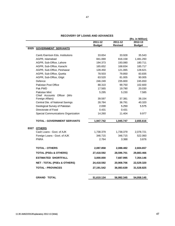|      |                                        |               |                | (Rs. in Million) |
|------|----------------------------------------|---------------|----------------|------------------|
|      |                                        | $2011 - 12$   | $2011 - 12$    | 2012-13          |
|      |                                        | <b>Budget</b> | <b>Revised</b> | <b>Budget</b>    |
| E025 | <b>GOVERNMENT SERVANTS</b>             |               |                |                  |
|      | Cantt./Garrison Edu. Institutions      | 33.654        | 33.928         | 35.543           |
|      | AGPR, Islamabad                        | 841.069       | 816.158        | 1,481.293        |
|      | AGPR, Sub-Office, Lahore               | 194.373       | 193.080        | 180.711          |
|      | AGPR, Sub-Office, Karachi              | 165.652       | 168.834        | 185.717          |
|      | AGPR, Sub-Office, Peshawar             | 128.450       | 121.065        | 128.621          |
|      | AGPR, Sub-Office, Quetta               | 78.503        | 79.850         | 83.835           |
|      | AGPR, Sub-Office, Gilgit               | 63.520        | 81.005         | 90.005           |
|      | Defence                                | 246.249       | 235.800        | 245.650          |
|      | Pakistan Post Office                   | 88.310        | 99.750         | 102.600          |
|      | Pak PWD                                | 17.565        | 19.790         | 20.030           |
|      | <b>Pakistan Mint</b>                   | 5.295         | 5.230          | 7.585            |
|      | Chief Accounts Officer (M/o            |               |                |                  |
|      | Foreign Affairs)                       | 39.597        | 37.381         | 38.154           |
|      | Central Dte. of National Savings       | 28.784        | 36.791         | 40.320           |
|      | Geological Survey of Pakistan          | 2.030         | 5.250          | 5.575            |
|      | Directorate of Food                    | 0.431         | 0.431          |                  |
|      | Special Communications Organization    | 14.260        | 11.404         | 9.977            |
|      | <b>TOTAL - GOVERNMENT SERVANTS</b>     | 1,947.742     | 1,945.747      | 2,655.616        |
|      | E027 OTHERS                            |               |                |                  |
|      | Cash Loans - Govt. of AJK              | 1,738.379     | 1,738.379      | 2,078.721        |
|      | Foreign Loans - Govt. of AJK           | 346.715       | 346.715        | 522.060          |
|      | <b>PNRA</b>                            | 2.764         | 3.388          | 3.876            |
|      |                                        |               |                |                  |
|      | <b>TOTAL - OTHERS</b>                  | 2,087.858     | 2,088.482      | 2,604.657        |
|      | <b>TOTAL (PSEs &amp; OTHERS)</b>       | 27,418.592    | 28,596.701     | 29,883.466       |
|      | <b>ESTIMATED SHORTFALL</b>             | 3,000.000     | 7,687.995      | 7,354.146        |
|      | <b>NET - TOTAL (PSEs &amp; OTHERS)</b> | 24,418.592    | 20,908.706     | 22,529.320       |
|      | <b>TOTAL - PROVINCES</b>               | 27,191.542    | 36,083.639     | 31,528.825       |
|      | <b>GRAND TOTAL</b>                     | 51,610.134    | 56,992.345     | 54,058.145       |

47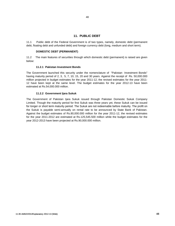### **11. PUBLIC DEBT**

11.1 Public debt of the Federal Government is of two types, namely, domestic debt (permanent debt, floating debt and unfunded debt) and foreign currency debt (long, medium and short term).

#### **DOMESTIC DEBT (PERMANENT)**

11.2 The main features of securities through which domestic debt (permanent) is raised are given below:

#### **11.2.1 Pakistan Investment Bonds**

The Government launched this security under the nomenclature of "Pakistan Investment Bonds" having maturity period of 2, 3, 5, 7, 10, 15, 20 and 30 years. Against the receipt of Rs. 50,000.000 million projected in budget estimates for the year 2011-12, the revised estimates for the year 2011- 12 have been kept at the same level. The budget estimates for the year 2012-13 have been estimated at Rs.54,000.000 million.

#### **11.2.2 Government Ijara Sukuk**

The Government of Pakistan Ijara Sukuk issued through Pakistan Domestic Sukuk Company Limited. Though the maturity period for first Sukuk was three years yet, these Sukuk can be issued for longer or short term maturity period. The Sukuk are not redeemable before maturity. The profit on the Sukuk is payable semi-annually on rental rate to be announced by State Bank of Pakistan. Against the budget estimates of Rs.80,000.000 million for the year 2011-12, the revised estimates for the year 2011-2012 are estimated at Rs.125,545.500 million while the budget estimates for the year 2012-2013 have been projected at Rs.90,000.000 million.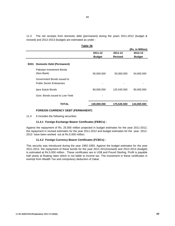11.3 The net receipts from domestic debt (permanent) during the years 2011-2012 (budget & revised) and 2012-2013 (budget) are estimated as under :

|      | Table 26                                                       |                          |                           | (Rs. in Million)         |  |
|------|----------------------------------------------------------------|--------------------------|---------------------------|--------------------------|--|
|      |                                                                | 2011-12<br><b>Budget</b> | 2011-12<br><b>Revised</b> | 2012-13<br><b>Budget</b> |  |
| E031 | <b>Domestic Debt (Permanent)</b>                               |                          |                           |                          |  |
|      | Pakistan Investment Bonds<br>(Non-Bank)                        | 50,000.000               | 50,000.000                | 54,000.000               |  |
|      | Government Bonds issued to<br><b>Public Sector Enterprises</b> |                          |                           |                          |  |
|      | Ijara Sukuk Bonds                                              | 80,000.000               | 125,545.500               | 90,000.000               |  |
|      | Govt. Bonds issued to Low-Yield                                |                          |                           |                          |  |
|      | TOTAL                                                          | 130,000.000              | 175,545.500               | 144,000.000              |  |

#### **FOREIGN CURRENCY DEBT (PERMANENT)**

11.4 It includes the following securities:

#### **11.4.1 Foreign Exchange Bearer Certificates (FEBCs) :**

Against the repayment of Rs. 25.000 million projected in budget estimates for the year 2011-2012, the repayment in revised estimates for the year 2011-2012 and budget estimates for the year 2012- 2013 have been worked out at Rs.5.000 million.

#### **11.4.2 Foreign Currency Bearer Certificates (FCBCs) :**

This security was introduced during the year 1992-1993. Against the budget estimates for the year 2011-2012, the repayment of these bonds for the year 2011-2012(revised) and 2012-2013 (budget) is estimated at Rs.5.000 million . These certificates are in US\$ and Pound Sterling. Profit is payable half yearly at floating rates which is not liable to income tax. The investment in these certificates is exempt from Wealth Tax and compulsory deduction of Zakat.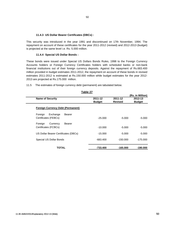# 50

#### **11.4.3 US Dollar Bearer Certificates (DBCs) :**

This security was introduced in the year 1991 and discontinued on 17th November, 1994. The repayment on account of these certificates for the year 2011-2012 (revised) and 2012-2013 (budget) is projected at the same level i.e. Rs. 5.000 million.

#### **11.4.4 Special US Dollar Bonds :**

These bonds were issued under Special US Dollars Bonds Rules, 1998 to the Foreign Currency Accounts holders or Foreign Currency Certificates holders with scheduled banks or non-bank financial institutions out of their foreign currency deposits. Against the repayment of Rs.683.400 million provided in budget estimates 2011-2012, the repayment on account of these bonds in revised estimates 2011-2012 is estimated at Rs.150.000 million while budget estimates for the year 2012- 2013 are projected at Rs.175.000 million.

**Table 27**

|                                          |               | Table 27      |                |                  |
|------------------------------------------|---------------|---------------|----------------|------------------|
|                                          |               |               |                | (Rs. in Million) |
| <b>Name of Security</b>                  |               | 2011-12       | 2011-12        | 2012-13          |
|                                          |               | <b>Budget</b> | <b>Revised</b> | <b>Budget</b>    |
| <b>Foreign Currency Debt (Permanent)</b> |               |               |                |                  |
| Foreign<br>Exchange                      | Bearer        |               |                |                  |
| Certificates (FEBCs)                     |               | $-25.000$     | $-5.000$       | $-5.000$         |
| Foreign<br>Currency                      | <b>Bearer</b> |               |                |                  |
| Certificates (FCBCs)                     |               | $-10.000$     | $-5.000$       | $-5.000$         |
|                                          |               |               |                |                  |
| US Dollar Bearer Certificates (DBCs)     |               | $-15.000$     | $-5.000$       | $-5.000$         |
|                                          |               |               |                |                  |
| Special US Dollar Bonds                  |               | -683.400      | $-150.000$     | $-175.000$       |
| TOTAL                                    |               | -733.400      | $-165.000$     | -190.000         |

11.5 The estimates of foreign currency debt (permanent) are tabulated below.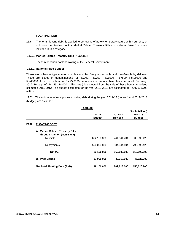# **FLOATING DEBT**

**11.6**  The term "floating debt" is applied to borrowing of purely temporary nature with a currency of not more than twelve months. Market Related Treasury Bills and National Prize Bonds are included in this category.

#### **11.6.1 Market Related Treasury Bills (Auction) :**

These reflect non-bank borrowing of the Federal Government.

#### **11.6.2 National Prize Bonds:**

These are of bearer type non-terminable securities freely encashable and transferable by delivery. These are issued in denominations of Rs.200, Rs.750, Rs.1500, Rs.7500, Rs.15000 and Rs.40000. A new prize bond of Rs.25,000/- denomination has also been launched w.e.f. February, 2012. Receipt of Rs. 49,218.000 million (net) is expected from the sale of these bonds in revised estimates 2011-2012. The budget estimates for the year 2012-2013 are estimated at Rs.45,626.700 million.

**11.7** The estimates of receipts from floating debt during the year 2011-12 (revised) and 2012-2013 (budget) are as under:

|      |                                                                | Table 28      |                |                  |
|------|----------------------------------------------------------------|---------------|----------------|------------------|
|      |                                                                |               |                | (Rs. in Million) |
|      |                                                                | 2011-12       | 2011-12        | 2012-13          |
|      |                                                                | <b>Budget</b> | <b>Revised</b> | <b>Budget</b>    |
| E032 | <b>FLOATING DEBT</b>                                           |               |                |                  |
|      | A. Market Related Treasury Bills<br>through Auction (Non-Bank) |               |                |                  |
|      | Receipts                                                       | 672,153.886   | 744,344.404    | 900,590.422      |
|      | Repayments                                                     | 590,053.886   | 584,344.404    | 790,590.422      |
|      | Net (A):                                                       | 82,100.000    | 160,000.000    | 110,000.000      |
|      | <b>B. Prize Bonds</b>                                          | 37,000.000    | 49,218.000     | 45,626.700       |
|      | Net Total Floating Debt (A+B)                                  | 119,100.000   | 209,218.000    | 155,626.700      |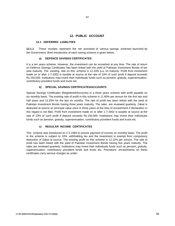#### **12. PUBLIC ACCOUNT**

#### **12.1 DEFERRED LIABILITIES**

**12.1.1** These receipts represent the net proceeds of various savings schemes launched by the Government. Brief introduction of each saving scheme is given below.

#### **a) DEFENCE SAVINGS CERTIFICATES**

It is a ten years scheme. However, the investment can be encashed at any time. The rate of return on Defence Savings Certificates has been linked with the yield of Pakistan Investment Bonds of ten year maturity. The existing rate on this scheme is 12.33% p.a. on maturity. Profit from investment made on or after 1-7-2002 is taxable at source at the rate of 10% of such profit if deposit exceeds Rs.150,000. Institutions may invest their individuals funds such as pension, gratuity, superannuation, contributory provident funds and trusts etc.

#### **b) SPECIAL SAVINGS CERTIFICATES/ACCOUNTS**

Special Savings Certificates (Registered/Accounts) is a three years scheme with profit payable on six monthly basis. The existing rate of profit in this scheme is 11.80% per annum for the first two and half years and 12.20% for the last six months. The rate of profit has been linked with the yield of Pakistan Investment Bonds having three years maturity. The rates are reviewed quarterly. Zakat is deducted at source on principal value once in three years at the time of encashment if declaration in this regard is not filed. Profit from investment made on or after 1-7-2002 is taxable at source at the rate of 10% of such profit if deposit exceeds Rs.150,000. Institutions may invest their individuals funds such as pension, gratuity, superannuation, contributory provident funds and trusts etc.

#### **c) REGULAR INCOME CERTIFICATES**

This scheme was introduced on 2-2-1993 to ensure payment of income on monthly basis. The profit in the scheme is subject to 10% withholding tax and the investment is exempt from compulsory deduction of Zakat at source. The existing profit on this scheme is 12.12% per annum. The rate of profit has been linked with the yield of Pakistan Investment Bonds having five years maturity. The rates are reviewed quarterly. Institutions may invest their individuals funds such as pension, gratuity, superannuation, contributory provident funds and trusts etc. Premature encashments on these certificates carry service charges as under: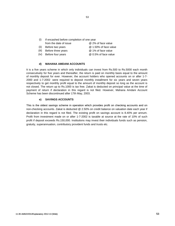- (i) If encashed before completion of one year from the date of issue @ 2% of face value (ii) Before two years @ 1.50% of face value (iii) Before three years **@** 1% of face value
- (iv) Before four years @ 0.5% of face value

#### **d) MAHANA AMDANI ACCOUNTS**

It is a five years scheme in which only individuals can invest from Rs.500 to Rs.5000 each month consecutively for five years and thereafter, the return is paid on monthly basis equal to the amount of monthly deposit for ever. However, the account holders who opened accounts on or after 1-7- 2000 and 1-7-2002 were required to deposit monthly installment for six years and seven years respectively to get monthly profit equal to the amount of monthly deposit so long as the account is not closed. The return up to Rs.1000 is tax free. Zakat is deducted on principal value at the time of payment of return if declaration in this regard is not filed. However, Mahana Amdani Account Scheme has been discontinued after 17th May, 2003.

#### **e) SAVINGS ACCOUNTS**

This is the oldest savings scheme in operation which provides profit on checking accounts and on non-checking accounts. Zakat is deducted @ 2.50% on credit balance on valuation date each year if declaration in this regard is not filed. The existing profit on savings account is 8.40% per annum. Profit from investment made on or after 1-7-2002 is taxable at source at the rate of 10% of such profit if deposit exceeds Rs.150,000. Institutions may invest their individuals funds such as pension, gratuity, superannuation, contributory provident funds and trusts etc.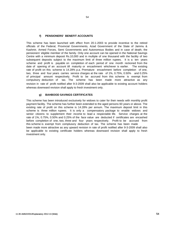#### **f) PENSIONERS' BENEFIT ACCOUNTS**

This scheme has been launched with effect from 20-1-2003 to provide incentive to the retired officials of the Federal, Provincial Governments, Azad Government of the State of Jammu & Kashmir, Armed Forces, Semi Governments and Autonomous Bodies and in case of death, the pensioners' eligible member of the family. Only one account can be opened in the National Savings Centre with a minimum deposit Rs.10,000 and in multiple of one thousand with the facility of two subsequent deposits subject to the maximum limit of three million rupees. It is a ten years scheme and profit is payable on completion of each period of one month reckoned from the date of opening of an account till maturity or encashment whichever is earlier. The existing rate of profit on this scheme is 14.28% p.a. Premature encashment before completion of one, two, three and four years carries service charges at the rate of 1%, 0.75%, 0.50% and 0.25% of principal amount respectively. Profit to be accrued from this scheme is exempt from compulsory deduction of tax. The scheme has been made more attractive as any revision in rate of profit notified after 9-3-2009 shall also be applicable to existing account holders whereas downward revision shall apply to fresh investment only.

#### **g) BAHBOOD SAVINGS CERTIFICATES**

This scheme has been introduced exclusively for widows to cater for their needs with monthly profit payment facility. The scheme has further been extended to the aged persons 60 years or above. The existing rate of profit on this scheme is 14.28% per annum. The maximum deposit limit in this scheme is three million rupees. It is only a compensatory package to enable widows and senior citizens to supplement their income to lead a respectable life. Service charges at the rate of 1%, 0.75%, 0.50% and 0.25% of the face value are deducted if certificates are encashed before completion of one, two, three and four years respectively. Profit to be accrued from this scheme is exempt from complusory deduction of tax. The scheme has been made been made more attractive as any upward revision in rate of profit notified after 9-3-2009 shall also be applicable to existing certificate holders whereas downward revision shall apply to fresh investment only.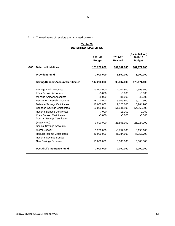12.1.2 The estimates of receipts are tabulated below :-

#### **DEFERRED LIABILITIES Table 29**

|                 |                                                                         |               |                | (Rs. in Million) |
|-----------------|-------------------------------------------------------------------------|---------------|----------------|------------------|
|                 |                                                                         | 2011-12       | 2011-12        | 2012-13          |
|                 |                                                                         | <b>Budget</b> | <b>Revised</b> | <b>Budget</b>    |
| G <sub>03</sub> | <b>Deferred Liabilities</b>                                             | 151,200.000   | 101,107.600    | 181,171.100      |
|                 | <b>Provident Fund</b>                                                   | 2,000.000     | 3,500.000      | 3,000.000        |
|                 | <b>Saving/Deposit Account/Certificates</b>                              | 147,200.000   | 95,607.600     | 176,171.100      |
|                 | Savings Bank Accounts                                                   | $-3,000.000$  | 2,002.800      | 4,696.600        |
|                 | Khas Deposit Accounts                                                   | $-5.000$      | $-5.000$       | $-5.000$         |
|                 | Mahana Amdani Accounts                                                  | $-85.000$     | 81.000         | $-40.000$        |
|                 | Pensioners' Benefit Accounts                                            | 18,300.000    | 15,309.800     | 16,074.500       |
|                 | Defence Savings Certificates                                            | 10,000.000    | 7,123.800      | 10,264.900       |
|                 | <b>Bahbood Savings Certificates</b>                                     | 62,000.000    | 51,641.500     | 54,060.300       |
|                 | <b>National Deposit Certificates</b>                                    | $-7.000$      | $-11.200$      | $-9.000$         |
|                 | <b>Khas Deposit Certificates</b><br><b>Special Savings Certificates</b> | $-3.000$      | $-3.000$       | $-3.000$         |
|                 | (Registered)<br><b>Special Savings Accounts</b>                         | 3,800.000     | $-23,558.900$  | 21,924.000       |
|                 | (Term Deposit)                                                          | 1,200.000     | $-8,757.800$   | 8,150.100        |
|                 | <b>Regular Income Certificates</b><br>National Savings Bonds/           | 40,000.000    | 41,784.600     | 46,057.700       |
|                 | <b>New Savings Schemes</b>                                              | 15,000.000    | 10,000.000     | 15,000.000       |
|                 | <b>Postal Life Insurance Fund</b>                                       | 2,000.000     | 2,000.000      | 2,000.000        |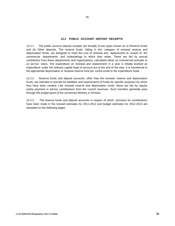#### **12.2 PUBLIC ACCOUNT DEPOSIT RECEIPTS**

12.2.1 The public account deposit receipts are broadly of two types known as (i) Reserve funds and (ii) Other deposits. The reserve funds, falling in the category of renewal reserve and depreciation funds, are designed to meet the cost of renewal and replacement of assets of the commercial departments and undertakings to which they relate. These are fed by annual contribution from these departments and organizations, calculated either on commercial principle or on ad-hoc basis. The expenditure on renewal and replacement in a year is initially booked as expenditure under the relevant capital head of account but at the end of the year, it is transferred to the appropriate depreciation or renewal reserve fund per contra-credit to the expenditure head.

12.2.2 Reserve funds and deposit accounts, other than the renewal reserve and depreciation funds, are intended to provide for liabilities and requirements of funds for specific purposes for which they have been created. Like renewal reserve and depreciation funds, these are fed by regular yearly payment or ad-hoc contributions from the current revenues. Such transfers generally pass through the budget grant of the concerned Ministry or Division.

12.2.3 The reserve funds and deposit accounts in respect of which provision for contributions have been made in the revised estimates for 2011-2012 and budget estimates for 2012-2013 are tabulated on the following pages.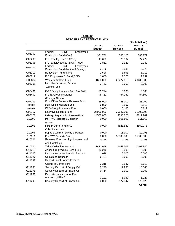|        |                                                                     |               |                | (Rs. in Million) |
|--------|---------------------------------------------------------------------|---------------|----------------|------------------|
|        |                                                                     | 2011-12       | 2011-12        | 2012-13          |
|        |                                                                     | <b>Budget</b> | <b>Revised</b> | <b>Budget</b>    |
| G06202 | Employees<br>Federal<br>Govt.                                       |               |                |                  |
|        | Benevolent Fund (Civil)                                             | 331.786       | 365.120        | 368.771          |
| G06205 | F.G. Employees B.F.(PPO)                                            | 47.600        | 76.507         | 77.272           |
| G06206 | F.G. Employees B.F. (Pak. PWD)                                      | 1.862         | 2.920          | 2.949            |
| G06209 | Federal<br>Govt.<br>Employees<br>Benevolent Fund (National Savings) | 3.486         | 3.933          | 3.973            |
| G06210 | <b>Benevolent Fund (Mint)</b>                                       | 1.526         | 1.693          | 1.710            |
| G06212 |                                                                     | 1.680         | 1.720          | 1.737            |
|        | F.G.Employees B. Fund(GSP)                                          |               |                |                  |
| G06304 | <b>Workers Welfare Fund</b>                                         | 1600.000      | 20277.613      | 20480.389        |
| G06305 | Mines Labor Housing General<br><b>Welfare Fund</b>                  | 3.752         | 0.000          | 0.000            |
| G06401 | F.G.E Group Insurance Fund Pak PWD                                  | 29.274        | 0.000          | 0.000            |
| G06402 | F.G.E. Group Insurance                                              | 48.762        | 64.160         | 64.802           |
|        | (Foreign Affairs)                                                   |               |                |                  |
| G07101 | Post Office Renewal Reserve Fund                                    | 55.000        | 48.000         | 28.000           |
| G07102 | Post Office Welfare Fund                                            | 0.000         | 0.507          | 0.512            |
| G07104 | PPO Group Insurance Fund                                            | 0.000         | 5.160          | 5.212            |
| G08117 | Railways Reserve Fund                                               | 25000.000     | 30647.000      | 31000.000        |
| G08121 | Railways Depreciation Reserve Fund                                  | 14500.000     | 4098.628       | 8117.209         |
| G10101 | Pak PWD Receipts & Collection                                       | 0.000         | 506.800        | 511.868          |
|        | Account                                                             |               |                |                  |
| G10102 | Foreign Office Receipts &                                           | 0.000         | 4523.840       | 4569.078         |
|        | <b>Collection Account</b>                                           |               |                |                  |
| G10106 | Deposits Works of Survey of Pakistan                                | 0.000         | 18.907         | 19.096           |
| G10113 | Pak PWD Deposits Fund                                               | 0.000         | 55000.000      | 55000.000        |
| G10301 | Reserve Fund for Lighthouses and                                    | 0.265         | 0.265          | 0.268            |
|        | and Lightships                                                      |               |                |                  |
| G10304 | <b>Zakat Collection Account</b>                                     | 1431.948      | 1453.307       | 1467.840         |
| G11210 | Agriculture Produce Cess Fund                                       | 43.246        | 0.000          | 0.000            |
| G11220 | Deposit in connection with Election                                 | 1.078         | 0.000          | 0.000            |
| G11227 | <b>Unclaimed Deposits</b>                                           | 6.734         | 0.000          | 0.000            |
| G11237 | Deposit Local Bodies to meet                                        |               |                |                  |
|        | <b>Claims of Contractors</b>                                        | 3.318         | 2.587          | 2.613            |
| G11238 | Security Deposit of Supply Cell                                     | 2.240         | 12.933         | 13.063           |
| G11276 | Security Deposit of Private Co.                                     | 0.714         | 0.000          | 0.000            |
| G11281 | Deposits on account of Fee                                          |               |                |                  |
|        | realized by PNAC                                                    | 3.122         | 6.067          | 6.127            |
| G11290 | Security Deposit of Private Co.                                     | 0.000         | 177.347        | 179.120          |
|        |                                                                     |               |                | Contd.           |

#### **DEPOSITS AND RESERVE FUNDS Table 30**

57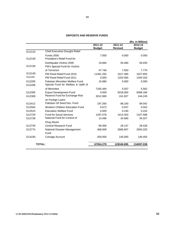| <b>DEPOSITS AND RESERVE FUNDS</b> |  |  |  |
|-----------------------------------|--|--|--|
|-----------------------------------|--|--|--|

|               |                                        |               |                | (Rs. in Million) |
|---------------|----------------------------------------|---------------|----------------|------------------|
|               |                                        | 2011-12       | 2011-12        | 2012-13          |
|               |                                        | <b>Budget</b> | <b>Revised</b> | <b>Budget</b>    |
| G12123        | <b>Chief Executive Draught Relief</b>  |               |                |                  |
|               | <b>Funds 2000</b>                      | 7.000         | 0.000          | 0.000            |
| G12130        | President's Relief Fund for            |               |                |                  |
|               | Earthquake Victims 2005                | 19.684        | 55.480         | 56.035           |
| G12135        | PM's Special Fund for Victims          |               |                |                  |
|               | of Terrorism                           | 47.740        | 7.693          | 7.770            |
| G12140        | PM Flood Relief Fund 2010              | 11401.292     | 1017.480       | 1027.655         |
| G12145        | PM Flood Relief Fund 2011              | 0.000         | 1332.000       | 1345.320         |
| G12205        | Pakistan Minorities Welfare Fund       | 15.680        | 0.000          | 0.000            |
| G12206        | Special Fund for Welfare & Uplift of   |               |                |                  |
|               | of Minorities                          | 7165.494      | 5.507          | 5.562            |
| G12305        | <b>Export Development Fund</b>         | 0.000         | 5018.000       | 5068.180         |
| G12308        | Reserve Fund for Exchange Risk         | 3012.980      | 241.827        | 244.245          |
|               | on Foreign Loans                       |               |                |                  |
| G12412        | Pakistan Oil Seed Dev. Fund            | 197.260       | 88.160         | 89.042           |
| G12504        | <b>Workers Children Education Fund</b> | 0.672         | 0.547          | 0.552            |
| G12510        | <b>Education Welfare Fund</b>          | 0.000         | 0.240          | 0.242            |
| G12729        | <b>Fund for Social Services</b>        | 1297.576      | 1413.453       | 1427.588         |
| G12738        | National Fund for Control of           | 13.496        | 34.680         | 35.027           |
|               | Drug Abuse                             |               |                |                  |
| G12745        | Central Research Fund                  | 90.006        | 28.147         | 28.428           |
| G12774        | National Disaster Management           | 468.006       | 2666.667       | 2693.333         |
|               | Fund                                   |               |                |                  |
| G14100        | Coinage Account                        | 200.000       | 145.000        | 146.450          |
| <b>TOTAL:</b> |                                        | 67054.279     | 129349.895     | 134097.038       |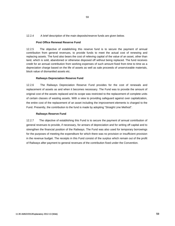12.2.4 A brief description of the main deposits/reserve funds are given below.

#### **Post Office Renewal Reserve Fund**

12.2.5 The objective of establishing this reserve fund is to secure the payment of annual contribution from general revenues, to provide funds to meet the actual cost of renewing and replacing assets. The fund also bears the cost of relieving capital of the value of an asset, other than land, which is sold, abandoned or otherwise disposed off without being replaced. The fund receives credit for an annual contribution from working expenses of such amount fixed from time to time as a depreciation charge based on the life of assets as well as sale proceeds of unserviceable materials, block value of dismantled assets etc.

#### **Railways Depreciation Reserve Fund**

12.2.6 The Railways Depreciation Reserve Fund provides for the cost of renewals and replacement of assets as and when it becomes necessary. The Fund was to provide the amount of original cost of the assets replaced and its scope was restricted to the replacement of complete units of certain classes of wasting assets. With a view to providing safeguard against over capitalization, the entire cost of the replacement of an asset including the improvement elements is charged to the Fund. Presently, the contribution to the fund is made by adopting "Straight Line Method".

#### **Railways Reserve Fund**

12.2.7 The objective of establishing this Fund is to secure the payment of annual contribution of general revenues to provide, if necessary, for arrears of depreciation and for writing off capital and to strengthen the financial position of the Railways. The Fund was also used for temporary borrowings for the purposes of meeting the expenditure for which there was no provision or insufficient provision in the revenue budget. The receipts in this Fund consist of the surplus which remain out of the profit of Railways after payment to general revenues of the contribution fixed under the Convention.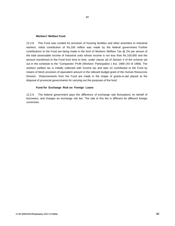#### **Workers' Welfare Fund**

12.2.8 This Fund was created for provision of housing facilities and other amenities to industrial workers. Initial contribution of Rs.100 million was made by the federal government. Further contributions to the Fund are being made in the form of Workers Welfare Tax @ 2% per annum of the total assessable income of industrial units whose income is not less than Rs.100,000 and the amount transferred to the Fund from time to time, under clause (d) of Section 4 of the scheme set out in the schedule to the "Companies' Profit (Workers' Participation ) Act, 1968 (XII of 1968). The workers welfare tax is initially collected with income tax and later on contributed to the Fund by means of block provision of equivalent amount in the relevant budget grant of the Human Resources Division. Disbursements from the Fund are made in the shape of grants-in-aid placed at the disposal of provincial governments for carrying out the purposes of the fund.

60

#### **Fund for Exchange Risk on Foreign Loans**

12.2.9 The federal government pays the difference of exchange rate fluctuations on behalf of borrowers, and charges an exchange risk fee. The rate of this fee is different for different foreign currencies.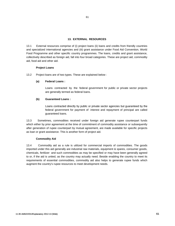#### **13. EXTERNAL RESOURCES**

13.1 External resources comprise of (i) project loans (ii) loans and credits from friendly countries and specialized international agencies and (iii) grant assistance under Food Aid Convention, World Food Programme and other specific country programmes. The loans, credits and grant assistance, collectively described as foreign aid, fall into four broad categories. These are project aid, commodity aid, food aid and other aid.

#### **Project Loans**

13.2 Project loans are of two types. These are explained below :

#### **(a) Federal Loans :**

Loans contracted by the federal government for public or private sector projects are generally termed as federal loans.

#### **(b) Guaranteed Loans :**

Loans contracted directly by public or private sector agencies but guaranteed by the federal government for payment of interest and repayment of principal are called guaranteed loans.

13.3 Sometimes, commodities received under foreign aid generate rupee counterpart funds which either by prior agreement at the time of commitment of commodity assistance or subsequently after generation of rupee counterpart by mutual agreement, are made available for specific projects as loan or grant assistance. This is another form of project aid.

#### **Commodity Aid**

13.4 Commodity aid as a rule is utilized for commercial imports of commodities. The goods imported under this aid generally are industrial raw materials, equipment & spares, consumer goods, chemicals, fertilizer and such commodities as may be specified or may have been generally agreed to or, if the aid is untied, as the country may actually need. Beside enabling the country to meet its requirements of essential commodities, commodity aid also helps to generate rupee funds which augment the country's rupee resources to meet development needs.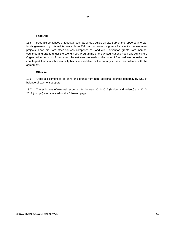#### **Food Aid**

13.5 Food aid comprises of foodstuff such as wheat, edible oil etc. Bulk of the rupee counterpart funds generated by this aid is available to Pakistan as loans or grants for specific development projects. Food aid from other sources comprises of Food Aid Convention grants from member countries and grants under the World Food Programme of the United Nations Food and Agriculture Organization. In most of the cases, the net sale proceeds of this type of food aid are deposited as counterpart funds which eventually become available for the country's use in accordance with the agreement.

#### **Other Aid**

13.6 Other aid comprises of loans and grants from non-traditional sources generally by way of balance of payment support.

13.7 The estimates of external resources for the year 2011-2012 (budget and revised) and 2012- 2013 (budget) are tabulated on the following page.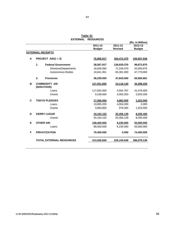|   |                                    | EXTERNAL RESOURCES |                |                  |
|---|------------------------------------|--------------------|----------------|------------------|
|   |                                    |                    |                | (Rs. in Million) |
|   |                                    | $2011 - 12$        | 2011-12        | 2012-13          |
|   |                                    | <b>Budget</b>      | <b>Revised</b> | <b>Budget</b>    |
|   | <b>EXTERNAL RECEIPTS</b>           |                    |                |                  |
| A | PROJECT AID(1 + 2)                 | 76,806.917         | 184,472.370    | 165,857.536      |
|   | <b>Federal Government</b><br>1.    | 38,567.917         | 136,629.370    | 99,873.875       |
|   | Divisions/Departments              | 18,926.566         | 71,248.370     | 52,093.975       |
|   | <b>Autonomous Bodies</b>           | 19,641.351         | 65,381.000     | 47,779.900       |
|   | <b>Provinces</b><br>2.             | 38,239.000         | 47,843.000     | 65,983.661       |
| B | <b>COMMODITY AID</b><br>(NON-FOOD) | 127,001.600        | 10,118.140     | 44,398.200       |
|   | Loans                              | 117,832.000        | 4,554.787      | 41,478.000       |
|   | Grants                             | 9,169.600          | 5,563.353      | 2,920.200        |
| C | <b>TOKYO PLEDGES</b>               | 17,556.000         | 4,983.000      | 1,023.000        |
|   | Loans                              | 13,895.200         | 4,004.000      | 0.000            |
|   | Grants                             | 3,660.800          | 979.000        | 1,023.000        |
| D | <b>KERRY LUGAR</b>                 | 34,164.152         | 20,356.139     | 8,200.400        |
|   | Grants                             | 34,164.152         | 20,356.139     | 8,200.400        |
| E | <b>OTHER AID</b>                   | 158,400.000        | 6,230.000      | 93,000.000       |
|   | Loans                              | 88,000.000         | 6,230.000      | 93,000.000       |
| F | <b>PRIVATIZATION</b>               | 70,400.000         | 0.000          | 74,400.000       |
|   | <b>TOTAL EXTERNAL RESOURCES</b>    | 413,928.669        | 226,159.649    | 386,879.136      |

 **EXTERNAL RESOURCES Table 31**

63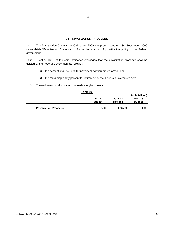#### **14 PRIVATIZATION PROCEEDS**

14.1 The Privatization Commission Ordinance, 2000 was promulgated on 28th September, 2000 to establish "Privatization Commission" for implementation of privatization policy of the federal government.

14.2 Section 16(2) of the said Ordinance envisages that the privatization proceeds shall be utilized by the Federal Government as follows :-

- (a) ten percent shall be used for poverty alleviation programmes ; and
- (b) the remaining ninety percent for retirement of the Federal Government debt.
- 14.3 The estimates of privatization proceeds are given below:

|                               |               |                | (Rs. in Million) |
|-------------------------------|---------------|----------------|------------------|
|                               | 2011-12       | 2011-12        | 2012-13          |
|                               | <b>Budget</b> | <b>Revised</b> | <b>Budget</b>    |
| <b>Privatization Proceeds</b> | 0.00          | 6725.00        | 0.00             |

| L | וטו<br> |  |
|---|---------|--|
|   |         |  |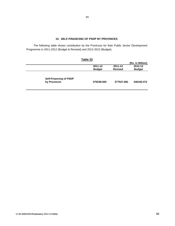#### **15. SELF-FINANCING OF PSDP BY PROVINCES**

The following table shows contribution by the Provinces for their Public Sector Development Programme in 2011-2012 (Budget & Revised) and 2012-2013 (Budget).

|                               | Table 33      |                |                  |
|-------------------------------|---------------|----------------|------------------|
|                               |               |                | (Rs. in Million) |
|                               | 2011-12       | 2011-12        | 2012-13          |
|                               | <b>Budget</b> | <b>Revised</b> | <b>Budget</b>    |
|                               |               |                |                  |
| <b>Self-Financing of PSDP</b> |               |                |                  |
| by Provinces                  | 375038.500    | 377527.891     | 436150.472       |
|                               |               |                |                  |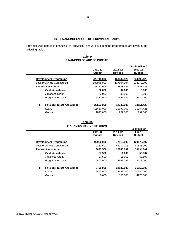#### **16. FINANCING TABLES OF PROVINCIAL ADPs**

Province wise details of financing of provincial annual development programmes are given in the following tables:

#### **FINANCING OF ADP OF PUNJAB Table 34**

|    |                                     |               |                | (Rs. in Million) |
|----|-------------------------------------|---------------|----------------|------------------|
|    |                                     | 2011-12       | 2011-12        | 2012-13          |
|    |                                     | <b>Budget</b> | <b>Revised</b> | <b>Budget</b>    |
|    |                                     |               |                |                  |
|    | <b>Development Programme</b>        | 222715.000    | 131542.526     | 234593.425       |
|    | <b>Less Provincial Contribution</b> | 189948.000    | 117604.204     | 213072.000       |
|    | <b>Federal Assistance</b>           | 32767.000     | 13938.322      | 21521.425        |
| L. | <b>Cash Assistance</b>              | 32.000        | 32,000         | 0.000            |
|    | Japanese Grant                      | 32,000        | 32.000         | 0.000            |
|    | Programme Loans                     | 12232.000     | 1557.322       | 8370.000         |
| н. | <b>Foreign Project Assistance</b>   | 20503.000     | 12349.000      | 13151.425        |
|    | Loans                               | 18610.000     | 11397.000      | 11954.425        |
|    | Grants                              | 1893.000      | 952.000        | 1197.000         |
|    |                                     |               |                |                  |

|    |                                     | ⊺able 35                         |                |                  |
|----|-------------------------------------|----------------------------------|----------------|------------------|
|    |                                     | <b>FINANCING OF ADP OF SINDH</b> |                |                  |
|    |                                     |                                  |                | (Rs. in Million) |
|    |                                     | 2011-12                          | 2011-12        | 2012-13          |
|    |                                     | <b>Budget</b>                    | <b>Revised</b> | <b>Budget</b>    |
|    |                                     |                                  |                |                  |
|    | <b>Development Programme</b>        | 93060.000                        | 72118.000      | 129679.807       |
|    | <b>Less Provincial Contribution</b> | 79182.500                        | 46272.213      | 91545.000        |
|    | <b>Federal Assistance</b>           | 13877.500                        | 25845.787      | 38134.807        |
|    | <b>Cash Assistance</b>              | 27.500                           | 11.000         | 59,807           |
|    | Japanese Grant                      | 27.500                           | 11.000         | 59.807           |
|    | Programme Loans                     | 4400.000                         | 2997.787       | 2418,000         |
| Ш. | <b>Foreign Project Assistance</b>   | 9450.000                         | 22837.000      | 35657.000        |
|    | Loans                               | 9450.000                         | 22687.000      | 30684.000        |
|    | Grants                              | 0.000                            | 150.000        | 4973,000         |

# **Table 35**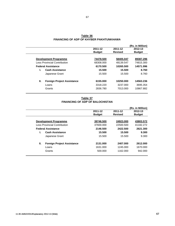|                                     |           |               | (Rs. in Million)         |
|-------------------------------------|-----------|---------------|--------------------------|
|                                     | 2011-12   | 2011-12       | 2012-13                  |
|                                     |           |               | <b>Budget</b>            |
| <b>Development Programme</b>        | 74478.500 | 58405.047     | 89387.296                |
| <b>Less Provincial Contribution</b> | 68308.000 | 48139.547     | 74815.300                |
| <b>Federal Assistance</b>           | 6170.500  | 10265.500     | 14571.996                |
| <b>Cash Assistance</b>              | 15.500    |               | 8.760                    |
| Japanese Grant                      | 15.500    | 15.500        | 8.760                    |
| <b>Foreign Project Assistance</b>   | 6155.000  | 10250.000     | 14563.236                |
| Loans                               | 3318.220  | 3237.000      | 3695.354                 |
| Grants                              | 2836.780  | 7013.000      | 10867.882                |
|                                     |           | <b>Budget</b> | <b>Revised</b><br>15.500 |

# **FINANCING OF ADP OF KHYBER PAKHTUNKHAWA Table 36**

#### **FINANCING OF ADP OF BALOCHISTAN Table 37**

|                                     |                                   |               |                | (Rs. in Million) |
|-------------------------------------|-----------------------------------|---------------|----------------|------------------|
|                                     |                                   | 2011-12       | 2011-12        | 2012-13          |
|                                     |                                   | <b>Budget</b> | <b>Revised</b> | <b>Budget</b>    |
|                                     | <b>Development Programme</b>      | 39746.500     | 24923.000      | 43803.572        |
| <b>Less Provincial Contribution</b> |                                   | 37600.000     | 22500.500      | 41182.272        |
| <b>Federal Assistance</b>           |                                   | 2146.500      | 2422.500       | 2621.300         |
|                                     | <b>Cash Assistance</b>            | 15.500        | 15.500         | 9.300            |
|                                     | Japanese Grant                    | 15.500        | 15.500         | 9.300            |
| Н.                                  | <b>Foreign Project Assistance</b> | 2131.000      | 2407.000       | 2612.000         |
|                                     | Loans                             | 1631.000      | 1245.000       | 1670.000         |
|                                     | Grants                            | 500.000       | 1162.000       | 942.000          |
|                                     |                                   |               |                |                  |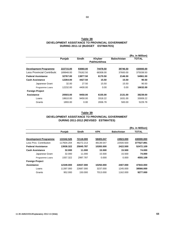| <b>ESTIMATES)</b><br><b>DURING 2011-12 (BUDGET)</b> |                    |              |               |                    |                  |  |
|-----------------------------------------------------|--------------------|--------------|---------------|--------------------|------------------|--|
|                                                     |                    |              |               |                    | (Rs. in Million) |  |
|                                                     | Punjab             | <b>Sindh</b> | <b>Khyber</b> | <b>Balochistan</b> | <b>TOTAL</b>     |  |
|                                                     | <b>Pakhtunkhwa</b> |              |               |                    |                  |  |
|                                                     |                    |              |               |                    |                  |  |
| <b>Development Programme</b>                        | 222715.00          | 93060.00     | 74478.50      | 39746.50           | 430000.00        |  |
| Less Provincial Contributic                         | 189948.00          | 79182.50     | 68308.00      | 37600.00           | 375038.50        |  |
| <b>Federal Assistance</b>                           | 32767.00           | 13877.50     | 6170.50       | 2146.50            | 54961.50         |  |
| <b>Cash Assistance</b>                              | 12264.00           | 4427.50      | 15.50         | 15.50              | 90.50            |  |

Japanese Grant 32.00 27.50 15.50 15.50 90.50 Programme Loans 12232.00 4400.00 0.00 0.00 1**6632.00** 

Loans 18610.00 9450.00 3318.22 1631.00 33009.22 Grants 1893.00 0.00 2836.78 500.00 5229.78

| Table 38                                        |  |  |  |  |  |
|-------------------------------------------------|--|--|--|--|--|
| DEVELOPMENT ASSISTANCE TO PROVINCIAL GOVERNMENT |  |  |  |  |  |
| DURING 2011-12 (BUDGET ESTIMATES)               |  |  |  |  |  |

| Table 39                                        |  |  |  |  |  |  |
|-------------------------------------------------|--|--|--|--|--|--|
| DEVELOPMENT ASSISTANCE TO PROVINCIAL GOVERNMENT |  |  |  |  |  |  |
| DURING 2011-2012 (REVISED ESTIMATES)            |  |  |  |  |  |  |

 **Assistance 20503.00 9450.00 6155.00 2131.00 38239.00**

|                              |            |              |            |                    | (Rs. in Million) |
|------------------------------|------------|--------------|------------|--------------------|------------------|
|                              | Punjab     | <b>Sindh</b> | <b>KPK</b> | <b>Balochistan</b> | <b>TOTAL</b>     |
|                              |            |              |            |                    |                  |
| <b>Development Programme</b> | 131542.526 | 72118.000    | 58405.047  | 24923.000          | 430000.000       |
| Less Prov. Contribution      | 117604.204 | 46272.213    | 48139.547  | 22500.500          | 377527.891       |
| <b>Federal Assistance</b>    | 13938.322  | 25845.787    | 10265.500  | 2422.500           | 52472.109        |
| <b>Cash Assistance</b>       | 32.000     | 11.000       | 15.500     | 15.500             | 74.000           |
| Japanese Grant               | 32,000     | 11.000       | 15.500     | 15.500             | 74.000           |
| Programme Loans              | 1557.322   | 2997.787     | 0.000      | 0.000              | 4555.109         |
| <b>Foreign Project</b>       |            |              |            |                    |                  |
| Assistance                   | 12349.000  | 22837.000    | 10250.000  | 2407.000           | 47843.000        |
| Loans                        | 11397.000  | 22687.000    | 3237.000   | 1245.000           | 38566.000        |
| Grants                       | 952.000    | 150,000      | 7013.000   | 1162.000           | 9277.000         |

 **Foreign Project**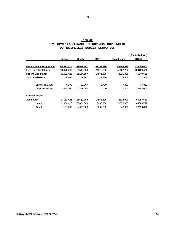| Table 40                                        |  |  |  |  |  |  |
|-------------------------------------------------|--|--|--|--|--|--|
| DEVELOPMENT ASSISTANCE TO PROVINCIAL GOVERNMENT |  |  |  |  |  |  |
| DURING 2012-2013 (BUDGET ESTIMATES)             |  |  |  |  |  |  |

|                              |            |            |            |                    | (Rs. in Million) |
|------------------------------|------------|------------|------------|--------------------|------------------|
|                              | Punjab     | Sindh      | <b>KPK</b> | <b>Balochistan</b> | TOTAL            |
|                              |            |            |            |                    |                  |
| <b>Development Programme</b> | 234593.425 | 129679.807 | 89387.296  | 43803.572          | 513000.000       |
| Less Prov. Contribution      | 213072.000 | 91545.000  | 74815.300  | 41182.272          | 436150.472       |
| <b>Federal Assistance</b>    | 21521.425  | 38134.807  | 14571.996  | 2621.300           | 76849.528        |
| <b>Cash Assistance</b>       | 0.000      | 59.807     | 8.760      | 9.300              | 77.867           |
|                              |            |            |            |                    |                  |
| Japanese Grant               | 0.000      | 59.807     | 8.760      | 9.300              | 77.867           |
| Programme Loans              | 8370.000   | 2418.000   | 0.000      | 0.000              | 10788.000        |
|                              |            |            |            |                    |                  |
| <b>Foreign Project</b>       |            |            |            |                    |                  |
| Assistance                   | 13151.425  | 35657.000  | 14563.236  | 2612.000           | 65983.661        |
| Loans                        | 11954.425  | 30684.000  | 3695.354   | 1670.000           | 48003.779        |
| Grants                       | 1197.000   | 4973.000   | 10867.882  | 942.000            | 17979.882        |
|                              |            |            |            |                    |                  |